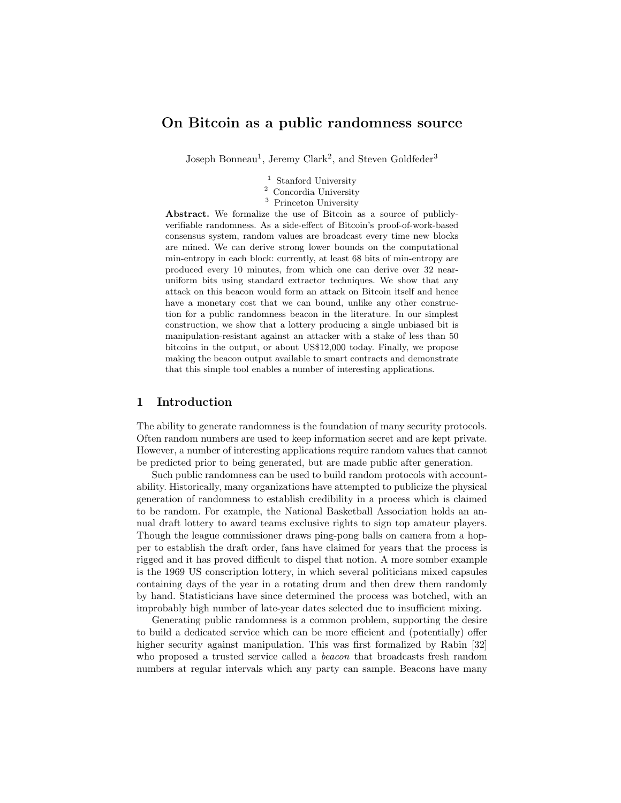# On Bitcoin as a public randomness source

Joseph Bonneau<sup>1</sup>, Jeremy Clark<sup>2</sup>, and Steven Goldfeder<sup>3</sup>

<sup>1</sup> Stanford University

- $^{\rm 2}$  Concordia University
- <sup>3</sup> Princeton University

Abstract. We formalize the use of Bitcoin as a source of publiclyverifiable randomness. As a side-effect of Bitcoin's proof-of-work-based consensus system, random values are broadcast every time new blocks are mined. We can derive strong lower bounds on the computational min-entropy in each block: currently, at least 68 bits of min-entropy are produced every 10 minutes, from which one can derive over 32 nearuniform bits using standard extractor techniques. We show that any attack on this beacon would form an attack on Bitcoin itself and hence have a monetary cost that we can bound, unlike any other construction for a public randomness beacon in the literature. In our simplest construction, we show that a lottery producing a single unbiased bit is manipulation-resistant against an attacker with a stake of less than 50 bitcoins in the output, or about US\$12,000 today. Finally, we propose making the beacon output available to smart contracts and demonstrate that this simple tool enables a number of interesting applications.

### 1 Introduction

The ability to generate randomness is the foundation of many security protocols. Often random numbers are used to keep information secret and are kept private. However, a number of interesting applications require random values that cannot be predicted prior to being generated, but are made public after generation.

Such public randomness can be used to build random protocols with accountability. Historically, many organizations have attempted to publicize the physical generation of randomness to establish credibility in a process which is claimed to be random. For example, the National Basketball Association holds an annual draft lottery to award teams exclusive rights to sign top amateur players. Though the league commissioner draws ping-pong balls on camera from a hopper to establish the draft order, fans have claimed for years that the process is rigged and it has proved difficult to dispel that notion. A more somber example is the 1969 US conscription lottery, in which several politicians mixed capsules containing days of the year in a rotating drum and then drew them randomly by hand. Statisticians have since determined the process was botched, with an improbably high number of late-year dates selected due to insufficient mixing.

Generating public randomness is a common problem, supporting the desire to build a dedicated service which can be more efficient and (potentially) offer higher security against manipulation. This was first formalized by Rabin [\[32\]](#page-17-0) who proposed a trusted service called a beacon that broadcasts fresh random numbers at regular intervals which any party can sample. Beacons have many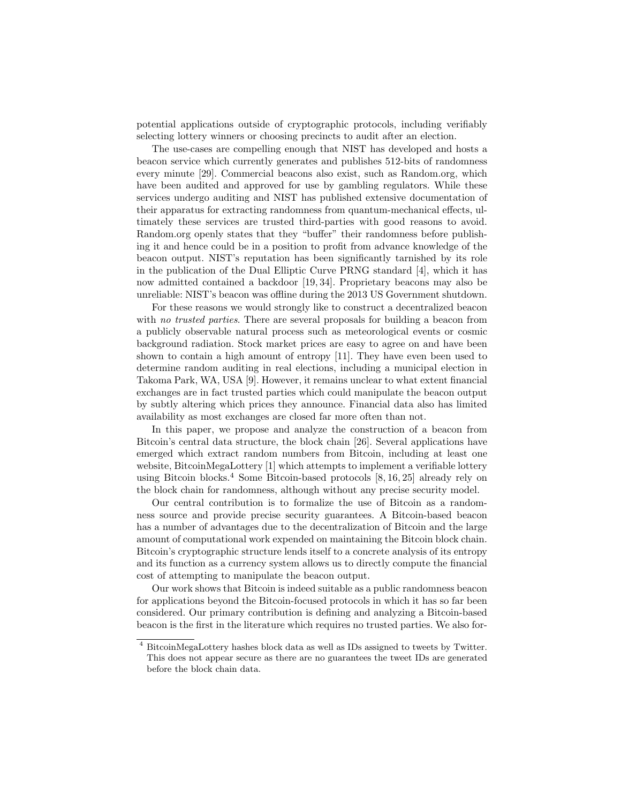potential applications outside of cryptographic protocols, including verifiably selecting lottery winners or choosing precincts to audit after an election.

The use-cases are compelling enough that NIST has developed and hosts a beacon service which currently generates and publishes 512-bits of randomness every minute [\[29\]](#page-17-1). Commercial beacons also exist, such as Random.org, which have been audited and approved for use by gambling regulators. While these services undergo auditing and NIST has published extensive documentation of their apparatus for extracting randomness from quantum-mechanical effects, ultimately these services are trusted third-parties with good reasons to avoid. Random.org openly states that they "buffer" their randomness before publishing it and hence could be in a position to profit from advance knowledge of the beacon output. NIST's reputation has been significantly tarnished by its role in the publication of the Dual Elliptic Curve PRNG standard [\[4\]](#page-16-0), which it has now admitted contained a backdoor [\[19,](#page-17-2) [34\]](#page-17-3). Proprietary beacons may also be unreliable: NIST's beacon was offline during the 2013 US Government shutdown.

For these reasons we would strongly like to construct a decentralized beacon with no trusted parties. There are several proposals for building a beacon from a publicly observable natural process such as meteorological events or cosmic background radiation. Stock market prices are easy to agree on and have been shown to contain a high amount of entropy [\[11\]](#page-16-1). They have even been used to determine random auditing in real elections, including a municipal election in Takoma Park, WA, USA [\[9\]](#page-16-2). However, it remains unclear to what extent financial exchanges are in fact trusted parties which could manipulate the beacon output by subtly altering which prices they announce. Financial data also has limited availability as most exchanges are closed far more often than not.

In this paper, we propose and analyze the construction of a beacon from Bitcoin's central data structure, the block chain [\[26\]](#page-17-4). Several applications have emerged which extract random numbers from Bitcoin, including at least one website, BitcoinMegaLottery [\[1\]](#page-16-3) which attempts to implement a verifiable lottery using Bitcoin blocks.<sup>[4](#page-1-0)</sup> Some Bitcoin-based protocols  $[8, 16, 25]$  $[8, 16, 25]$  $[8, 16, 25]$  already rely on the block chain for randomness, although without any precise security model.

Our central contribution is to formalize the use of Bitcoin as a randomness source and provide precise security guarantees. A Bitcoin-based beacon has a number of advantages due to the decentralization of Bitcoin and the large amount of computational work expended on maintaining the Bitcoin block chain. Bitcoin's cryptographic structure lends itself to a concrete analysis of its entropy and its function as a currency system allows us to directly compute the financial cost of attempting to manipulate the beacon output.

Our work shows that Bitcoin is indeed suitable as a public randomness beacon for applications beyond the Bitcoin-focused protocols in which it has so far been considered. Our primary contribution is defining and analyzing a Bitcoin-based beacon is the first in the literature which requires no trusted parties. We also for-

<span id="page-1-0"></span><sup>4</sup> BitcoinMegaLottery hashes block data as well as IDs assigned to tweets by Twitter. This does not appear secure as there are no guarantees the tweet IDs are generated before the block chain data.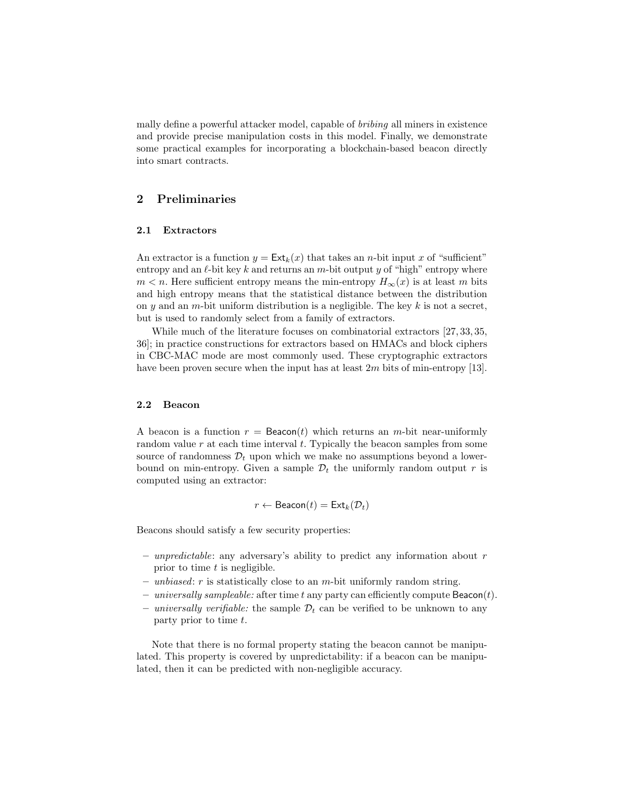mally define a powerful attacker model, capable of bribing all miners in existence and provide precise manipulation costs in this model. Finally, we demonstrate some practical examples for incorporating a blockchain-based beacon directly into smart contracts.

## 2 Preliminaries

#### 2.1 Extractors

An extractor is a function  $y = \text{Ext}_k(x)$  that takes an *n*-bit input x of "sufficient" entropy and an  $\ell$ -bit key k and returns an m-bit output y of "high" entropy where  $m < n$ . Here sufficient entropy means the min-entropy  $H_{\infty}(x)$  is at least m bits and high entropy means that the statistical distance between the distribution on y and an m-bit uniform distribution is a negligible. The key  $k$  is not a secret, but is used to randomly select from a family of extractors.

While much of the literature focuses on combinatorial extractors [\[27,](#page-17-6) [33,](#page-17-7) [35,](#page-17-8) [36\]](#page-17-9); in practice constructions for extractors based on HMACs and block ciphers in CBC-MAC mode are most commonly used. These cryptographic extractors have been proven secure when the input has at least  $2m$  bits of min-entropy [\[13\]](#page-16-6).

## 2.2 Beacon

A beacon is a function  $r = \text{Beacon}(t)$  which returns an m-bit near-uniformly random value  $r$  at each time interval  $t$ . Typically the beacon samples from some source of randomness  $\mathcal{D}_t$  upon which we make no assumptions beyond a lowerbound on min-entropy. Given a sample  $\mathcal{D}_t$  the uniformly random output r is computed using an extractor:

$$
r \leftarrow \text{Beacon}(t) = \text{Ext}_k(\mathcal{D}_t)
$$

Beacons should satisfy a few security properties:

- unpredictable: any adversary's ability to predict any information about  $r$ prior to time  $t$  is negligible.
- unbiased:  $r$  is statistically close to an  $m$ -bit uniformly random string.
- universally sampleable: after time t any party can efficiently compute  $\textsf{Beacon}(t)$ .
- universally verifiable: the sample  $\mathcal{D}_t$  can be verified to be unknown to any party prior to time t.

Note that there is no formal property stating the beacon cannot be manipulated. This property is covered by unpredictability: if a beacon can be manipulated, then it can be predicted with non-negligible accuracy.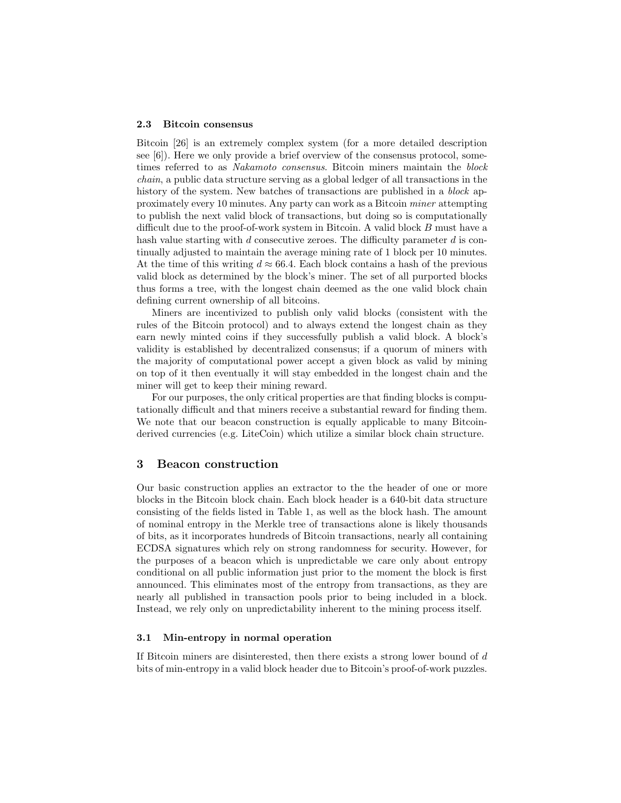#### 2.3 Bitcoin consensus

Bitcoin [\[26\]](#page-17-4) is an extremely complex system (for a more detailed description see [\[6\]](#page-16-7)). Here we only provide a brief overview of the consensus protocol, sometimes referred to as Nakamoto consensus. Bitcoin miners maintain the block chain, a public data structure serving as a global ledger of all transactions in the history of the system. New batches of transactions are published in a *block* approximately every 10 minutes. Any party can work as a Bitcoin miner attempting to publish the next valid block of transactions, but doing so is computationally difficult due to the proof-of-work system in Bitcoin. A valid block B must have a hash value starting with  $d$  consecutive zeroes. The difficulty parameter  $d$  is continually adjusted to maintain the average mining rate of 1 block per 10 minutes. At the time of this writing  $d \approx 66.4$ . Each block contains a hash of the previous valid block as determined by the block's miner. The set of all purported blocks thus forms a tree, with the longest chain deemed as the one valid block chain defining current ownership of all bitcoins.

Miners are incentivized to publish only valid blocks (consistent with the rules of the Bitcoin protocol) and to always extend the longest chain as they earn newly minted coins if they successfully publish a valid block. A block's validity is established by decentralized consensus; if a quorum of miners with the majority of computational power accept a given block as valid by mining on top of it then eventually it will stay embedded in the longest chain and the miner will get to keep their mining reward.

For our purposes, the only critical properties are that finding blocks is computationally difficult and that miners receive a substantial reward for finding them. We note that our beacon construction is equally applicable to many Bitcoinderived currencies (e.g. LiteCoin) which utilize a similar block chain structure.

## 3 Beacon construction

Our basic construction applies an extractor to the the header of one or more blocks in the Bitcoin block chain. Each block header is a 640-bit data structure consisting of the fields listed in Table [1,](#page-4-0) as well as the block hash. The amount of nominal entropy in the Merkle tree of transactions alone is likely thousands of bits, as it incorporates hundreds of Bitcoin transactions, nearly all containing ECDSA signatures which rely on strong randomness for security. However, for the purposes of a beacon which is unpredictable we care only about entropy conditional on all public information just prior to the moment the block is first announced. This eliminates most of the entropy from transactions, as they are nearly all published in transaction pools prior to being included in a block. Instead, we rely only on unpredictability inherent to the mining process itself.

### 3.1 Min-entropy in normal operation

If Bitcoin miners are disinterested, then there exists a strong lower bound of d bits of min-entropy in a valid block header due to Bitcoin's proof-of-work puzzles.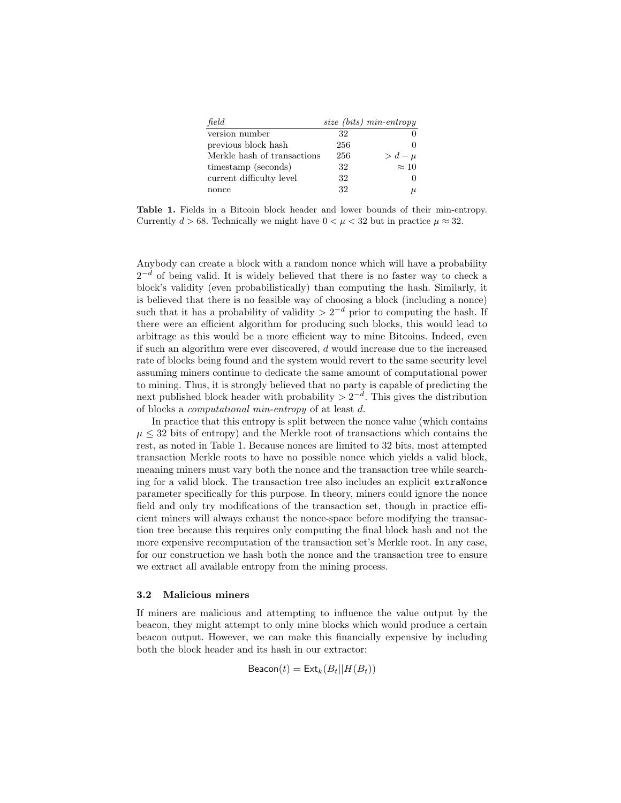| field                       |     | size (bits) min-entropy |
|-----------------------------|-----|-------------------------|
| version number              | 32  |                         |
| previous block hash         | 256 |                         |
| Merkle hash of transactions | 256 | $> d - \mu$             |
| timestamp (seconds)         | 32  | $\approx 10$            |
| current difficulty level    | 32  |                         |
| nonce                       | 32  | u                       |

<span id="page-4-0"></span>Table 1. Fields in a Bitcoin block header and lower bounds of their min-entropy. Currently  $d > 68$ . Technically we might have  $0 < \mu < 32$  but in practice  $\mu \approx 32$ .

Anybody can create a block with a random nonce which will have a probability  $2^{-d}$  of being valid. It is widely believed that there is no faster way to check a block's validity (even probabilistically) than computing the hash. Similarly, it is believed that there is no feasible way of choosing a block (including a nonce) such that it has a probability of validity  $> 2^{-d}$  prior to computing the hash. If there were an efficient algorithm for producing such blocks, this would lead to arbitrage as this would be a more efficient way to mine Bitcoins. Indeed, even if such an algorithm were ever discovered, d would increase due to the increased rate of blocks being found and the system would revert to the same security level assuming miners continue to dedicate the same amount of computational power to mining. Thus, it is strongly believed that no party is capable of predicting the next published block header with probability  $> 2^{-d}$ . This gives the distribution of blocks a computational min-entropy of at least d.

In practice that this entropy is split between the nonce value (which contains  $\mu \leq 32$  bits of entropy) and the Merkle root of transactions which contains the rest, as noted in Table [1.](#page-4-0) Because nonces are limited to 32 bits, most attempted transaction Merkle roots to have no possible nonce which yields a valid block, meaning miners must vary both the nonce and the transaction tree while searching for a valid block. The transaction tree also includes an explicit extraNonce parameter specifically for this purpose. In theory, miners could ignore the nonce field and only try modifications of the transaction set, though in practice efficient miners will always exhaust the nonce-space before modifying the transaction tree because this requires only computing the final block hash and not the more expensive recomputation of the transaction set's Merkle root. In any case, for our construction we hash both the nonce and the transaction tree to ensure we extract all available entropy from the mining process.

## 3.2 Malicious miners

If miners are malicious and attempting to influence the value output by the beacon, they might attempt to only mine blocks which would produce a certain beacon output. However, we can make this financially expensive by including both the block header and its hash in our extractor:

$$
\text{Beacon}(t) = \text{Ext}_k(B_t || H(B_t))
$$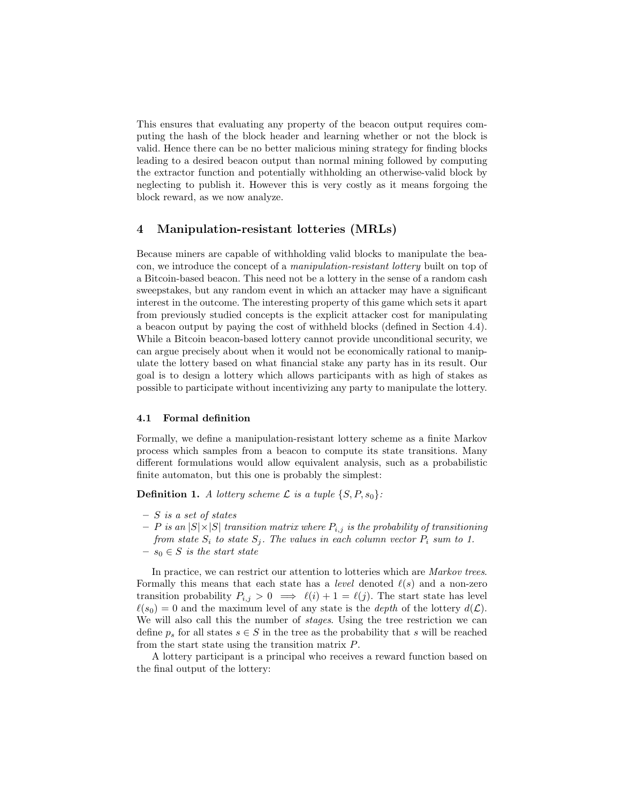This ensures that evaluating any property of the beacon output requires computing the hash of the block header and learning whether or not the block is valid. Hence there can be no better malicious mining strategy for finding blocks leading to a desired beacon output than normal mining followed by computing the extractor function and potentially withholding an otherwise-valid block by neglecting to publish it. However this is very costly as it means forgoing the block reward, as we now analyze.

## 4 Manipulation-resistant lotteries (MRLs)

Because miners are capable of withholding valid blocks to manipulate the beacon, we introduce the concept of a manipulation-resistant lottery built on top of a Bitcoin-based beacon. This need not be a lottery in the sense of a random cash sweepstakes, but any random event in which an attacker may have a significant interest in the outcome. The interesting property of this game which sets it apart from previously studied concepts is the explicit attacker cost for manipulating a beacon output by paying the cost of withheld blocks (defined in Section [4.4\)](#page-7-0). While a Bitcoin beacon-based lottery cannot provide unconditional security, we can argue precisely about when it would not be economically rational to manipulate the lottery based on what financial stake any party has in its result. Our goal is to design a lottery which allows participants with as high of stakes as possible to participate without incentivizing any party to manipulate the lottery.

## 4.1 Formal definition

Formally, we define a manipulation-resistant lottery scheme as a finite Markov process which samples from a beacon to compute its state transitions. Many different formulations would allow equivalent analysis, such as a probabilistic finite automaton, but this one is probably the simplest:

**Definition 1.** A lottery scheme  $\mathcal{L}$  is a tuple  $\{S, P, s_0\}$ :

- $S$  is a set of states
- $P$  is an  $|S| \times |S|$  transition matrix where  $P_{i,j}$  is the probability of transitioning from state  $S_i$  to state  $S_j$ . The values in each column vector  $P_i$  sum to 1.
- $s_0 \in S$  is the start state

In practice, we can restrict our attention to lotteries which are Markov trees. Formally this means that each state has a *level* denoted  $\ell(s)$  and a non-zero transition probability  $P_{i,j} > 0 \implies \ell(i) + 1 = \ell(j)$ . The start state has level  $\ell(s_0) = 0$  and the maximum level of any state is the *depth* of the lottery  $d(\mathcal{L})$ . We will also call this the number of *stages*. Using the tree restriction we can define  $p_s$  for all states  $s \in S$  in the tree as the probability that s will be reached from the start state using the transition matrix P.

A lottery participant is a principal who receives a reward function based on the final output of the lottery: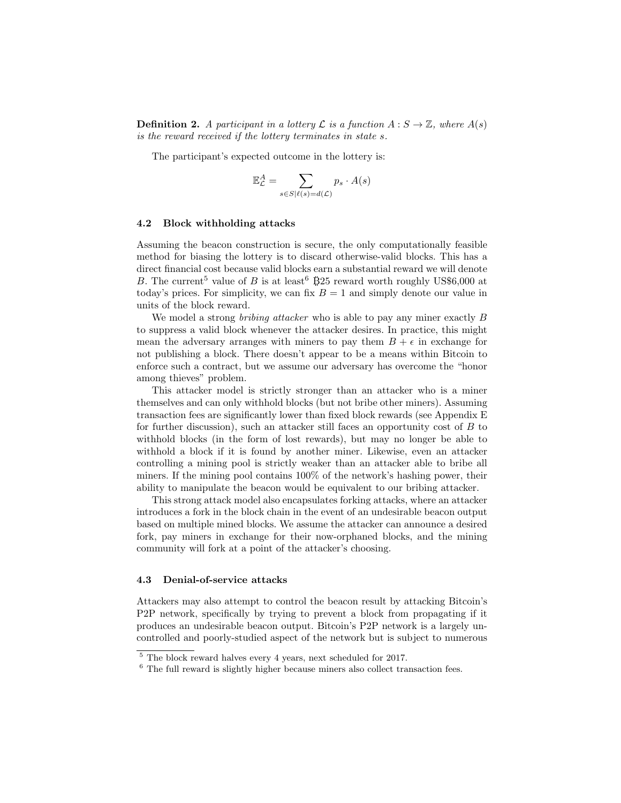**Definition 2.** A participant in a lottery  $\mathcal L$  is a function  $A : S \to \mathbb Z$ , where  $A(s)$ is the reward received if the lottery terminates in state s.

The participant's expected outcome in the lottery is:

$$
\mathbb{E}_{\mathcal{L}}^{A} = \sum_{s \in S | \ell(s) = d(\mathcal{L})} p_s \cdot A(s)
$$

#### <span id="page-6-2"></span>4.2 Block withholding attacks

Assuming the beacon construction is secure, the only computationally feasible method for biasing the lottery is to discard otherwise-valid blocks. This has a direct financial cost because valid blocks earn a substantial reward we will denote B. The current<sup>[5](#page-6-0)</sup> value of B is at least<sup>[6](#page-6-1)</sup> B25 reward worth roughly US\$6,000 at today's prices. For simplicity, we can fix  $B = 1$  and simply denote our value in units of the block reward.

We model a strong bribing attacker who is able to pay any miner exactly B to suppress a valid block whenever the attacker desires. In practice, this might mean the adversary arranges with miners to pay them  $B + \epsilon$  in exchange for not publishing a block. There doesn't appear to be a means within Bitcoin to enforce such a contract, but we assume our adversary has overcome the "honor among thieves" problem.

This attacker model is strictly stronger than an attacker who is a miner themselves and can only withhold blocks (but not bribe other miners). Assuming transaction fees are significantly lower than fixed block rewards (see Appendix [E](#page-31-0) for further discussion), such an attacker still faces an opportunity cost of B to withhold blocks (in the form of lost rewards), but may no longer be able to withhold a block if it is found by another miner. Likewise, even an attacker controlling a mining pool is strictly weaker than an attacker able to bribe all miners. If the mining pool contains 100% of the network's hashing power, their ability to manipulate the beacon would be equivalent to our bribing attacker.

This strong attack model also encapsulates forking attacks, where an attacker introduces a fork in the block chain in the event of an undesirable beacon output based on multiple mined blocks. We assume the attacker can announce a desired fork, pay miners in exchange for their now-orphaned blocks, and the mining community will fork at a point of the attacker's choosing.

#### 4.3 Denial-of-service attacks

Attackers may also attempt to control the beacon result by attacking Bitcoin's P2P network, specifically by trying to prevent a block from propagating if it produces an undesirable beacon output. Bitcoin's P2P network is a largely uncontrolled and poorly-studied aspect of the network but is subject to numerous

<span id="page-6-0"></span> $\frac{5}{6}$  The block reward halves every 4 years, next scheduled for 2017.

<span id="page-6-1"></span><sup>&</sup>lt;sup>6</sup> The full reward is slightly higher because miners also collect transaction fees.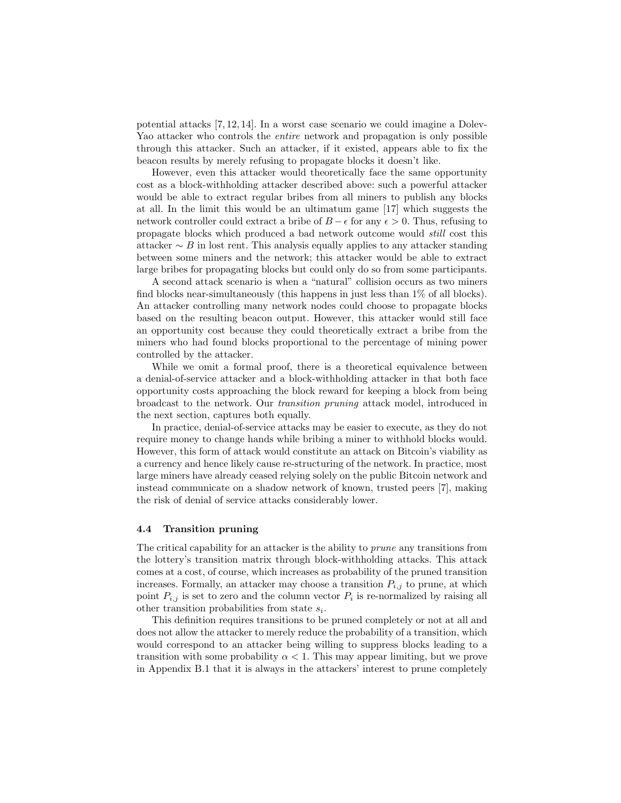potential attacks [\[7,](#page-16-8) [12,](#page-16-9) [14\]](#page-16-10). In a worst case scenario we could imagine a Dolev-Yao attacker who controls the entire network and propagation is only possible through this attacker. Such an attacker, if it existed, appears able to fix the beacon results by merely refusing to propagate blocks it doesn't like.

However, even this attacker would theoretically face the same opportunity cost as a block-withholding attacker described above: such a powerful attacker would be able to extract regular bribes from all miners to publish any blocks at all. In the limit this would be an ultimatum game [\[17\]](#page-16-11) which suggests the network controller could extract a bribe of  $B - \epsilon$  for any  $\epsilon > 0$ . Thus, refusing to propagate blocks which produced a bad network outcome would still cost this attacker  $\sim$  B in lost rent. This analysis equally applies to any attacker standing between some miners and the network; this attacker would be able to extract large bribes for propagating blocks but could only do so from some participants.

A second attack scenario is when a "natural" collision occurs as two miners find blocks near-simultaneously (this happens in just less than 1% of all blocks). An attacker controlling many network nodes could choose to propagate blocks based on the resulting beacon output. However, this attacker would still face an opportunity cost because they could theoretically extract a bribe from the miners who had found blocks proportional to the percentage of mining power controlled by the attacker.

While we omit a formal proof, there is a theoretical equivalence between a denial-of-service attacker and a block-withholding attacker in that both face opportunity costs approaching the block reward for keeping a block from being broadcast to the network. Our transition pruning attack model, introduced in the next section, captures both equally.

In practice, denial-of-service attacks may be easier to execute, as they do not require money to change hands while bribing a miner to withhold blocks would. However, this form of attack would constitute an attack on Bitcoin's viability as a currency and hence likely cause re-structuring of the network. In practice, most large miners have already ceased relying solely on the public Bitcoin network and instead communicate on a shadow network of known, trusted peers [\[7\]](#page-16-8), making the risk of denial of service attacks considerably lower.

#### <span id="page-7-0"></span>4.4 Transition pruning

The critical capability for an attacker is the ability to prune any transitions from the lottery's transition matrix through block-withholding attacks. This attack comes at a cost, of course, which increases as probability of the pruned transition increases. Formally, an attacker may choose a transition  $P_{i,j}$  to prune, at which point  $P_{i,j}$  is set to zero and the column vector  $P_i$  is re-normalized by raising all other transition probabilities from state  $s_i$ .

This definition requires transitions to be pruned completely or not at all and does not allow the attacker to merely reduce the probability of a transition, which would correspond to an attacker being willing to suppress blocks leading to a transition with some probability  $\alpha < 1$ . This may appear limiting, but we prove in Appendix [B.1](#page-26-0) that it is always in the attackers' interest to prune completely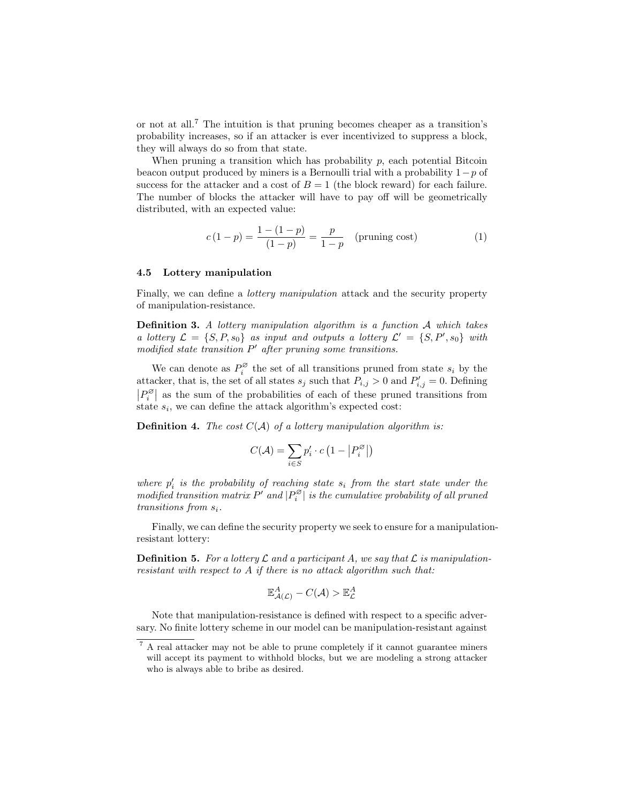or not at all.[7](#page-8-0) The intuition is that pruning becomes cheaper as a transition's probability increases, so if an attacker is ever incentivized to suppress a block, they will always do so from that state.

When pruning a transition which has probability  $p$ , each potential Bitcoin beacon output produced by miners is a Bernoulli trial with a probability  $1 - p$  of success for the attacker and a cost of  $B = 1$  (the block reward) for each failure. The number of blocks the attacker will have to pay off will be geometrically distributed, with an expected value:

$$
c(1-p) = \frac{1 - (1-p)}{(1-p)} = \frac{p}{1-p}
$$
 (pruning cost) (1)

#### <span id="page-8-1"></span>4.5 Lottery manipulation

Finally, we can define a *lottery manipulation* attack and the security property of manipulation-resistance.

Definition 3. A lottery manipulation algorithm is a function A which takes a lottery  $\mathcal{L} = \{S, P, s_0\}$  as input and outputs a lottery  $\mathcal{L}' = \{S, P', s_0\}$  with  $modified$  state transition  $P'$  after pruning some transitions.

We can denote as  $P_i^{\varnothing}$  $s_i^{\omega}$  the set of all transitions pruned from state  $s_i$  by the attacker, that is, the set of all states  $s_j$  such that  $P_{i,j} > 0$  and  $P'_{i,j} = 0$ . Defining  $|P_i^\varnothing\>$  $\left| \begin{array}{c} \infty \\ i \end{array} \right|$  as the sum of the probabilities of each of these pruned transitions from state  $s_i$ , we can define the attack algorithm's expected cost:

**Definition 4.** The cost  $C(A)$  of a lottery manipulation algorithm is:

$$
C(\mathcal{A}) = \sum_{i \in S} p_i' \cdot c \left( 1 - \left| P_i^\varnothing \right| \right)
$$

where  $p_i'$  is the probability of reaching state  $s_i$  from the start state under the modified transition matrix  $P'$  and  $|P_i^{\varnothing}|$  $\mathbb{E}_{i}^{\mathfrak{S}}$  is the cumulative probability of all pruned transitions from  $s_i$ .

Finally, we can define the security property we seek to ensure for a manipulationresistant lottery:

**Definition 5.** For a lottery  $\mathcal L$  and a participant A, we say that  $\mathcal L$  is manipulationresistant with respect to A if there is no attack algorithm such that:

$$
\mathbb{E}_{\mathcal{A}(\mathcal{L})}^A - C(\mathcal{A}) > \mathbb{E}_{\mathcal{L}}^A
$$

Note that manipulation-resistance is defined with respect to a specific adversary. No finite lottery scheme in our model can be manipulation-resistant against

<span id="page-8-0"></span><sup>7</sup> A real attacker may not be able to prune completely if it cannot guarantee miners will accept its payment to withhold blocks, but we are modeling a strong attacker who is always able to bribe as desired.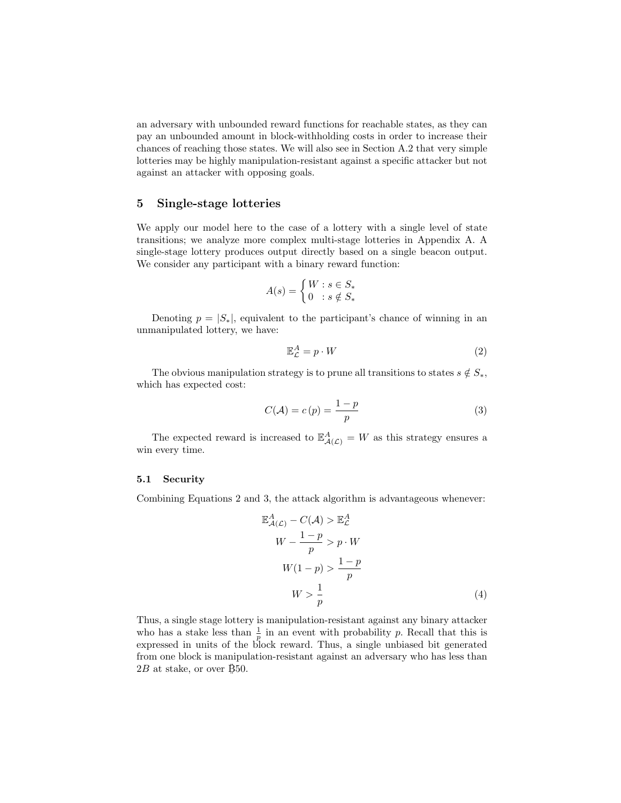an adversary with unbounded reward functions for reachable states, as they can pay an unbounded amount in block-withholding costs in order to increase their chances of reaching those states. We will also see in Section [A.2](#page-18-0) that very simple lotteries may be highly manipulation-resistant against a specific attacker but not against an attacker with opposing goals.

## <span id="page-9-3"></span>5 Single-stage lotteries

We apply our model here to the case of a lottery with a single level of state transitions; we analyze more complex multi-stage lotteries in Appendix [A.](#page-17-10) A single-stage lottery produces output directly based on a single beacon output. We consider any participant with a binary reward function:

$$
A(s) = \begin{cases} W : s \in S_* \\ 0 : s \notin S_* \end{cases}
$$

Denoting  $p = |S_*|$ , equivalent to the participant's chance of winning in an unmanipulated lottery, we have:

<span id="page-9-0"></span>
$$
\mathbb{E}_{\mathcal{L}}^A = p \cdot W \tag{2}
$$

The obvious manipulation strategy is to prune all transitions to states  $s \notin S_*$ , which has expected cost:

<span id="page-9-1"></span>
$$
C(\mathcal{A}) = c(p) = \frac{1-p}{p}
$$
 (3)

The expected reward is increased to  $\mathbb{E}^A_{\mathcal{A}(\mathcal{L})} = W$  as this strategy ensures a win every time.

#### 5.1 Security

Combining Equations [2](#page-9-0) and [3,](#page-9-1) the attack algorithm is advantageous whenever:

<span id="page-9-2"></span>
$$
\mathbb{E}_{\mathcal{A}(\mathcal{L})}^{\mathcal{A}} - C(\mathcal{A}) > \mathbb{E}_{\mathcal{L}}^{\mathcal{A}}
$$
\n
$$
W - \frac{1-p}{p} > p \cdot W
$$
\n
$$
W(1-p) > \frac{1-p}{p}
$$
\n
$$
W > \frac{1}{p} \tag{4}
$$

Thus, a single stage lottery is manipulation-resistant against any binary attacker who has a stake less than  $\frac{1}{p}$  in an event with probability p. Recall that this is expressed in units of the block reward. Thus, a single unbiased bit generated from one block is manipulation-resistant against an adversary who has less than  $2B$  at stake, or over  $\beta$ 50.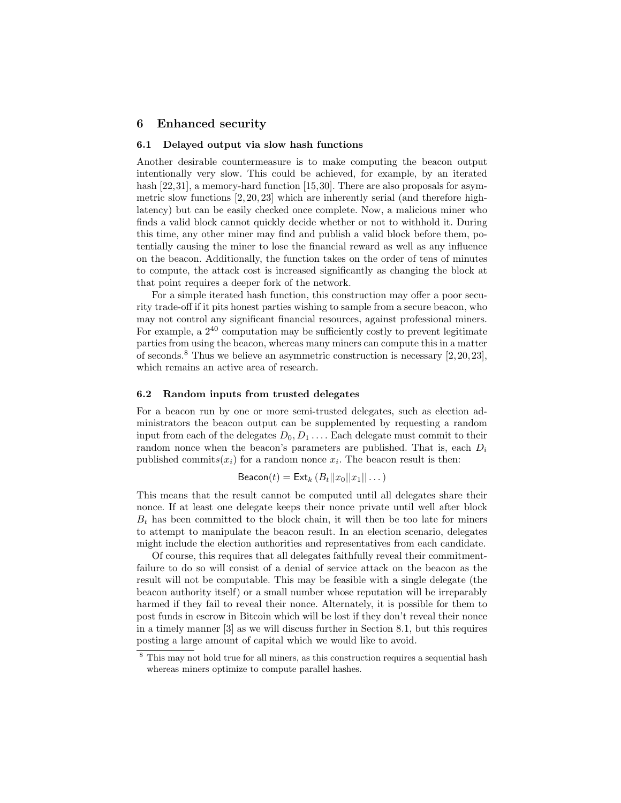## 6 Enhanced security

### 6.1 Delayed output via slow hash functions

Another desirable countermeasure is to make computing the beacon output intentionally very slow. This could be achieved, for example, by an iterated hash [\[22,](#page-17-11)[31\]](#page-17-12), a memory-hard function [\[15,](#page-16-12)[30\]](#page-17-13). There are also proposals for asymmetric slow functions  $[2, 20, 23]$  $[2, 20, 23]$  $[2, 20, 23]$  which are inherently serial (and therefore highlatency) but can be easily checked once complete. Now, a malicious miner who finds a valid block cannot quickly decide whether or not to withhold it. During this time, any other miner may find and publish a valid block before them, potentially causing the miner to lose the financial reward as well as any influence on the beacon. Additionally, the function takes on the order of tens of minutes to compute, the attack cost is increased significantly as changing the block at that point requires a deeper fork of the network.

For a simple iterated hash function, this construction may offer a poor security trade-off if it pits honest parties wishing to sample from a secure beacon, who may not control any significant financial resources, against professional miners. For example, a  $2^{40}$  computation may be sufficiently costly to prevent legitimate parties from using the beacon, whereas many miners can compute this in a matter of seconds.<sup>[8](#page-10-0)</sup> Thus we believe an asymmetric construction is necessary  $[2, 20, 23]$  $[2, 20, 23]$  $[2, 20, 23]$ , which remains an active area of research.

### 6.2 Random inputs from trusted delegates

For a beacon run by one or more semi-trusted delegates, such as election administrators the beacon output can be supplemented by requesting a random input from each of the delegates  $D_0, D_1, \ldots$  Each delegate must commit to their random nonce when the beacon's parameters are published. That is, each  $D_i$ published commits $(x_i)$  for a random nonce  $x_i$ . The beacon result is then:

$$
\text{Beacon}(t) = \text{Ext}_{k} (B_t ||x_0||x_1|| \dots)
$$

This means that the result cannot be computed until all delegates share their nonce. If at least one delegate keeps their nonce private until well after block  $B_t$  has been committed to the block chain, it will then be too late for miners to attempt to manipulate the beacon result. In an election scenario, delegates might include the election authorities and representatives from each candidate.

Of course, this requires that all delegates faithfully reveal their commitmentfailure to do so will consist of a denial of service attack on the beacon as the result will not be computable. This may be feasible with a single delegate (the beacon authority itself) or a small number whose reputation will be irreparably harmed if they fail to reveal their nonce. Alternately, it is possible for them to post funds in escrow in Bitcoin which will be lost if they don't reveal their nonce in a timely manner [\[3\]](#page-16-14) as we will discuss further in Section [8.1,](#page-13-0) but this requires posting a large amount of capital which we would like to avoid.

<span id="page-10-0"></span><sup>8</sup> This may not hold true for all miners, as this construction requires a sequential hash whereas miners optimize to compute parallel hashes.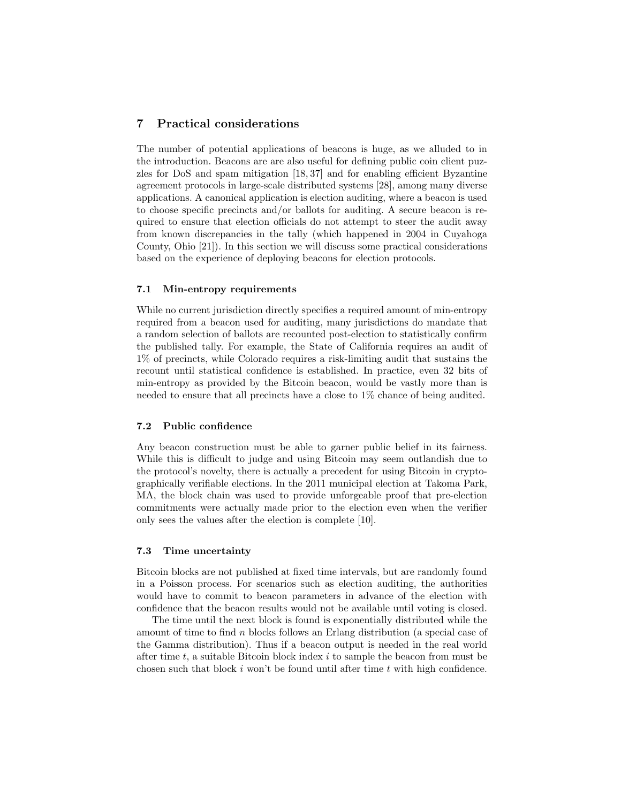## 7 Practical considerations

The number of potential applications of beacons is huge, as we alluded to in the introduction. Beacons are are also useful for defining public coin client puzzles for DoS and spam mitigation [\[18,](#page-16-15) [37\]](#page-17-16) and for enabling efficient Byzantine agreement protocols in large-scale distributed systems [\[28\]](#page-17-17), among many diverse applications. A canonical application is election auditing, where a beacon is used to choose specific precincts and/or ballots for auditing. A secure beacon is required to ensure that election officials do not attempt to steer the audit away from known discrepancies in the tally (which happened in 2004 in Cuyahoga County, Ohio [\[21\]](#page-17-18)). In this section we will discuss some practical considerations based on the experience of deploying beacons for election protocols.

### 7.1 Min-entropy requirements

While no current jurisdiction directly specifies a required amount of min-entropy required from a beacon used for auditing, many jurisdictions do mandate that a random selection of ballots are recounted post-election to statistically confirm the published tally. For example, the State of California requires an audit of 1% of precincts, while Colorado requires a risk-limiting audit that sustains the recount until statistical confidence is established. In practice, even 32 bits of min-entropy as provided by the Bitcoin beacon, would be vastly more than is needed to ensure that all precincts have a close to 1% chance of being audited.

#### 7.2 Public confidence

Any beacon construction must be able to garner public belief in its fairness. While this is difficult to judge and using Bitcoin may seem outlandish due to the protocol's novelty, there is actually a precedent for using Bitcoin in cryptographically verifiable elections. In the 2011 municipal election at Takoma Park, MA, the block chain was used to provide unforgeable proof that pre-election commitments were actually made prior to the election even when the verifier only sees the values after the election is complete [\[10\]](#page-16-16).

#### 7.3 Time uncertainty

Bitcoin blocks are not published at fixed time intervals, but are randomly found in a Poisson process. For scenarios such as election auditing, the authorities would have to commit to beacon parameters in advance of the election with confidence that the beacon results would not be available until voting is closed.

The time until the next block is found is exponentially distributed while the amount of time to find n blocks follows an Erlang distribution (a special case of the Gamma distribution). Thus if a beacon output is needed in the real world after time  $t$ , a suitable Bitcoin block index  $i$  to sample the beacon from must be chosen such that block  $i$  won't be found until after time  $t$  with high confidence.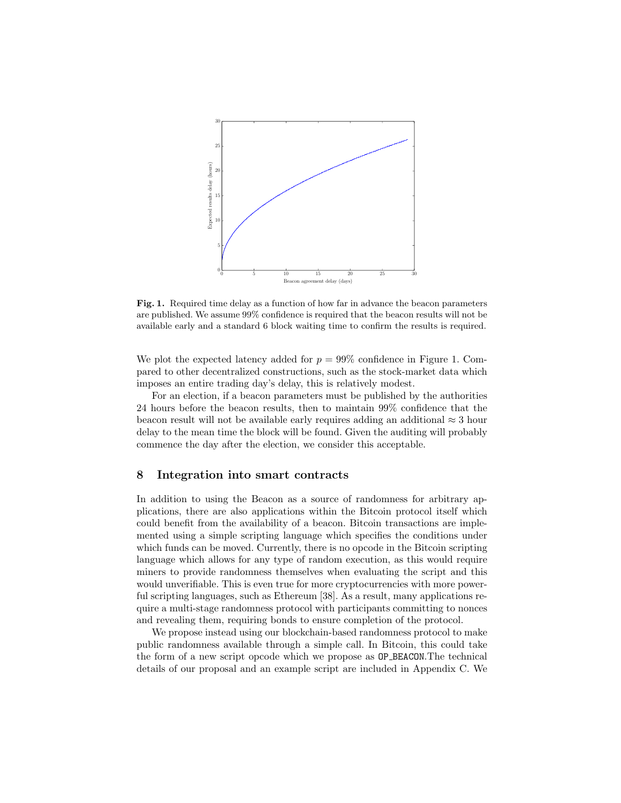

<span id="page-12-0"></span>Fig. 1. Required time delay as a function of how far in advance the beacon parameters are published. We assume 99% confidence is required that the beacon results will not be available early and a standard 6 block waiting time to confirm the results is required.

We plot the expected latency added for  $p = 99\%$  confidence in Figure [1.](#page-12-0) Compared to other decentralized constructions, such as the stock-market data which imposes an entire trading day's delay, this is relatively modest.

For an election, if a beacon parameters must be published by the authorities 24 hours before the beacon results, then to maintain 99% confidence that the beacon result will not be available early requires adding an additional  $\approx 3$  hour delay to the mean time the block will be found. Given the auditing will probably commence the day after the election, we consider this acceptable.

## 8 Integration into smart contracts

In addition to using the Beacon as a source of randomness for arbitrary applications, there are also applications within the Bitcoin protocol itself which could benefit from the availability of a beacon. Bitcoin transactions are implemented using a simple scripting language which specifies the conditions under which funds can be moved. Currently, there is no opcode in the Bitcoin scripting language which allows for any type of random execution, as this would require miners to provide randomness themselves when evaluating the script and this would unverifiable. This is even true for more cryptocurrencies with more powerful scripting languages, such as Ethereum [\[38\]](#page-17-19). As a result, many applications require a multi-stage randomness protocol with participants committing to nonces and revealing them, requiring bonds to ensure completion of the protocol.

We propose instead using our blockchain-based randomness protocol to make public randomness available through a simple call. In Bitcoin, this could take the form of a new script opcode which we propose as OP BEACON.The technical details of our proposal and an example script are included in Appendix [C.](#page-28-0) We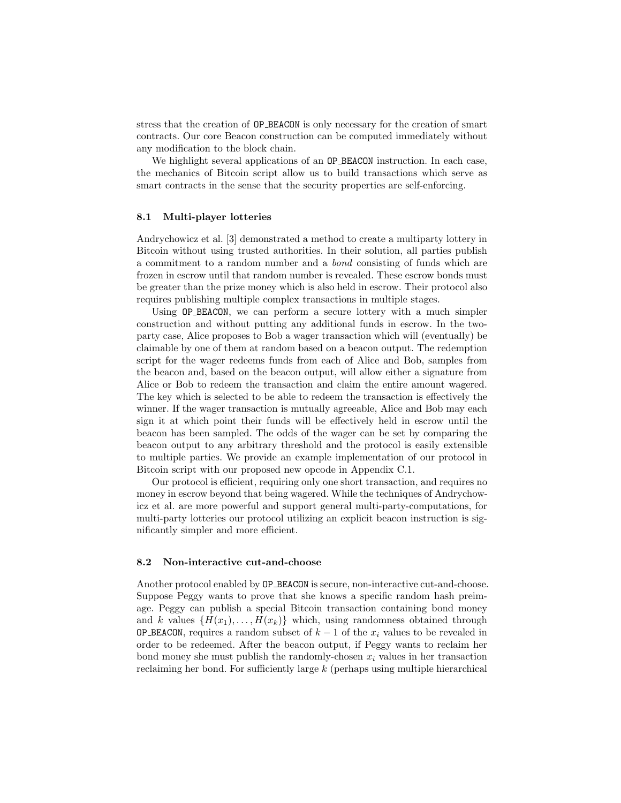stress that the creation of OP BEACON is only necessary for the creation of smart contracts. Our core Beacon construction can be computed immediately without any modification to the block chain.

We highlight several applications of an **OP\_BEACON** instruction. In each case, the mechanics of Bitcoin script allow us to build transactions which serve as smart contracts in the sense that the security properties are self-enforcing.

#### <span id="page-13-0"></span>8.1 Multi-player lotteries

Andrychowicz et al. [\[3\]](#page-16-14) demonstrated a method to create a multiparty lottery in Bitcoin without using trusted authorities. In their solution, all parties publish a commitment to a random number and a bond consisting of funds which are frozen in escrow until that random number is revealed. These escrow bonds must be greater than the prize money which is also held in escrow. Their protocol also requires publishing multiple complex transactions in multiple stages.

Using OP BEACON, we can perform a secure lottery with a much simpler construction and without putting any additional funds in escrow. In the twoparty case, Alice proposes to Bob a wager transaction which will (eventually) be claimable by one of them at random based on a beacon output. The redemption script for the wager redeems funds from each of Alice and Bob, samples from the beacon and, based on the beacon output, will allow either a signature from Alice or Bob to redeem the transaction and claim the entire amount wagered. The key which is selected to be able to redeem the transaction is effectively the winner. If the wager transaction is mutually agreeable, Alice and Bob may each sign it at which point their funds will be effectively held in escrow until the beacon has been sampled. The odds of the wager can be set by comparing the beacon output to any arbitrary threshold and the protocol is easily extensible to multiple parties. We provide an example implementation of our protocol in Bitcoin script with our proposed new opcode in Appendix [C.1.](#page-29-0)

Our protocol is efficient, requiring only one short transaction, and requires no money in escrow beyond that being wagered. While the techniques of Andrychowicz et al. are more powerful and support general multi-party-computations, for multi-party lotteries our protocol utilizing an explicit beacon instruction is significantly simpler and more efficient.

### 8.2 Non-interactive cut-and-choose

Another protocol enabled by OP BEACON is secure, non-interactive cut-and-choose. Suppose Peggy wants to prove that she knows a specific random hash preimage. Peggy can publish a special Bitcoin transaction containing bond money and k values  $\{H(x_1), \ldots, H(x_k)\}\$  which, using randomness obtained through **OP\_BEACON**, requires a random subset of  $k-1$  of the  $x_i$  values to be revealed in order to be redeemed. After the beacon output, if Peggy wants to reclaim her bond money she must publish the randomly-chosen  $x_i$  values in her transaction reclaiming her bond. For sufficiently large k (perhaps using multiple hierarchical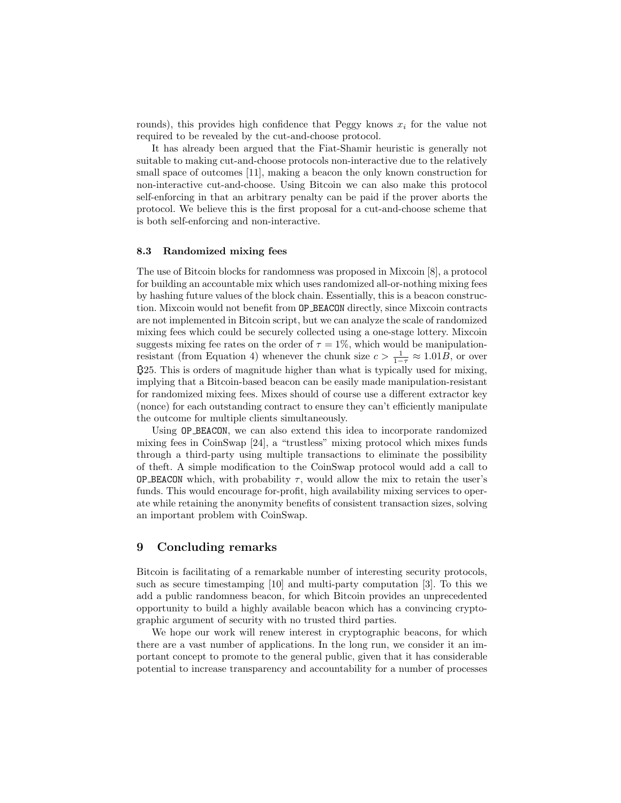rounds), this provides high confidence that Peggy knows  $x_i$  for the value not required to be revealed by the cut-and-choose protocol.

It has already been argued that the Fiat-Shamir heuristic is generally not suitable to making cut-and-choose protocols non-interactive due to the relatively small space of outcomes [\[11\]](#page-16-1), making a beacon the only known construction for non-interactive cut-and-choose. Using Bitcoin we can also make this protocol self-enforcing in that an arbitrary penalty can be paid if the prover aborts the protocol. We believe this is the first proposal for a cut-and-choose scheme that is both self-enforcing and non-interactive.

#### 8.3 Randomized mixing fees

The use of Bitcoin blocks for randomness was proposed in Mixcoin [\[8\]](#page-16-4), a protocol for building an accountable mix which uses randomized all-or-nothing mixing fees by hashing future values of the block chain. Essentially, this is a beacon construction. Mixcoin would not benefit from OP BEACON directly, since Mixcoin contracts are not implemented in Bitcoin script, but we can analyze the scale of randomized mixing fees which could be securely collected using a one-stage lottery. Mixcoin suggests mixing fee rates on the order of  $\tau = 1\%$ , which would be manipulation-resistant (from Equation [4\)](#page-9-2) whenever the chunk size  $c > \frac{1}{1-\tau} \approx 1.01B$ , or over B25. This is orders of magnitude higher than what is typically used for mixing, implying that a Bitcoin-based beacon can be easily made manipulation-resistant for randomized mixing fees. Mixes should of course use a different extractor key (nonce) for each outstanding contract to ensure they can't efficiently manipulate the outcome for multiple clients simultaneously.

Using OP BEACON, we can also extend this idea to incorporate randomized mixing fees in CoinSwap [\[24\]](#page-17-20), a "trustless" mixing protocol which mixes funds through a third-party using multiple transactions to eliminate the possibility of theft. A simple modification to the CoinSwap protocol would add a call to **OP BEACON** which, with probability  $\tau$ , would allow the mix to retain the user's funds. This would encourage for-profit, high availability mixing services to operate while retaining the anonymity benefits of consistent transaction sizes, solving an important problem with CoinSwap.

## 9 Concluding remarks

Bitcoin is facilitating of a remarkable number of interesting security protocols, such as secure timestamping [\[10\]](#page-16-16) and multi-party computation [\[3\]](#page-16-14). To this we add a public randomness beacon, for which Bitcoin provides an unprecedented opportunity to build a highly available beacon which has a convincing cryptographic argument of security with no trusted third parties.

We hope our work will renew interest in cryptographic beacons, for which there are a vast number of applications. In the long run, we consider it an important concept to promote to the general public, given that it has considerable potential to increase transparency and accountability for a number of processes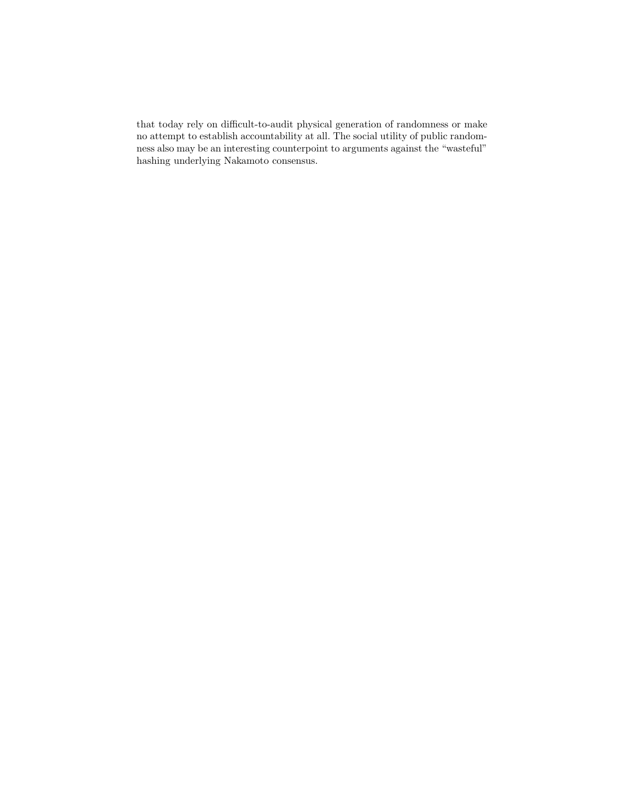that today rely on difficult-to-audit physical generation of randomness or make no attempt to establish accountability at all. The social utility of public randomness also may be an interesting counterpoint to arguments against the "wasteful" hashing underlying Nakamoto consensus.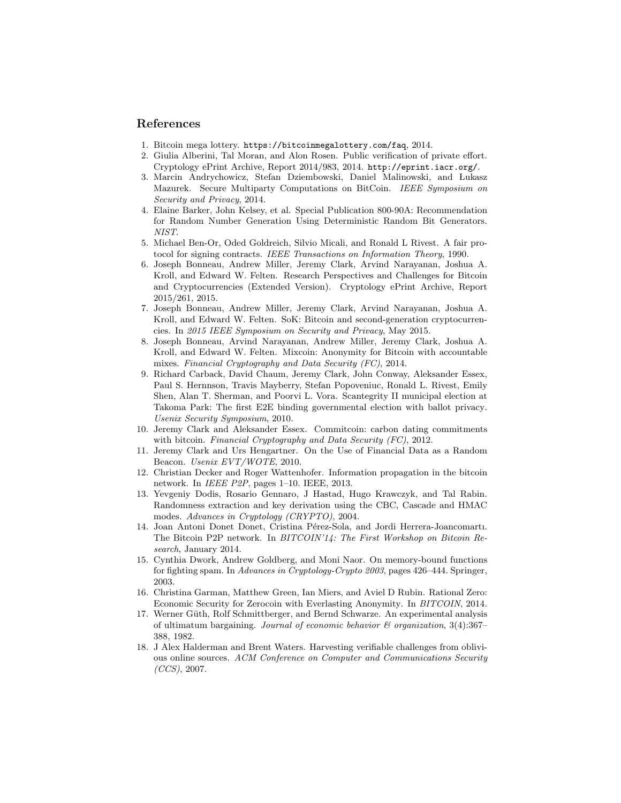## References

- <span id="page-16-3"></span>1. Bitcoin mega lottery. <https://bitcoinmegalottery.com/faq>, 2014.
- <span id="page-16-13"></span>2. Giulia Alberini, Tal Moran, and Alon Rosen. Public verification of private effort. Cryptology ePrint Archive, Report 2014/983, 2014. <http://eprint.iacr.org/>.
- <span id="page-16-14"></span>3. Marcin Andrychowicz, Stefan Dziembowski, Daniel Malinowski, and Lukasz Mazurek. Secure Multiparty Computations on BitCoin. IEEE Symposium on Security and Privacy, 2014.
- <span id="page-16-0"></span>4. Elaine Barker, John Kelsey, et al. Special Publication 800-90A: Recommendation for Random Number Generation Using Deterministic Random Bit Generators. NIST.
- <span id="page-16-17"></span>5. Michael Ben-Or, Oded Goldreich, Silvio Micali, and Ronald L Rivest. A fair protocol for signing contracts. IEEE Transactions on Information Theory, 1990.
- <span id="page-16-7"></span>6. Joseph Bonneau, Andrew Miller, Jeremy Clark, Arvind Narayanan, Joshua A. Kroll, and Edward W. Felten. Research Perspectives and Challenges for Bitcoin and Cryptocurrencies (Extended Version). Cryptology ePrint Archive, Report 2015/261, 2015.
- <span id="page-16-8"></span>7. Joseph Bonneau, Andrew Miller, Jeremy Clark, Arvind Narayanan, Joshua A. Kroll, and Edward W. Felten. SoK: Bitcoin and second-generation cryptocurrencies. In 2015 IEEE Symposium on Security and Privacy, May 2015.
- <span id="page-16-4"></span>8. Joseph Bonneau, Arvind Narayanan, Andrew Miller, Jeremy Clark, Joshua A. Kroll, and Edward W. Felten. Mixcoin: Anonymity for Bitcoin with accountable mixes. Financial Cryptography and Data Security (FC), 2014.
- <span id="page-16-2"></span>9. Richard Carback, David Chaum, Jeremy Clark, John Conway, Aleksander Essex, Paul S. Hernnson, Travis Mayberry, Stefan Popoveniuc, Ronald L. Rivest, Emily Shen, Alan T. Sherman, and Poorvi L. Vora. Scantegrity II municipal election at Takoma Park: The first E2E binding governmental election with ballot privacy. Usenix Security Symposium, 2010.
- <span id="page-16-16"></span>10. Jeremy Clark and Aleksander Essex. Commitcoin: carbon dating commitments with bitcoin. Financial Cryptography and Data Security (FC), 2012.
- <span id="page-16-1"></span>11. Jeremy Clark and Urs Hengartner. On the Use of Financial Data as a Random Beacon. Usenix EVT/WOTE, 2010.
- <span id="page-16-9"></span>12. Christian Decker and Roger Wattenhofer. Information propagation in the bitcoin network. In IEEE P2P, pages 1–10. IEEE, 2013.
- <span id="page-16-6"></span>13. Yevgeniy Dodis, Rosario Gennaro, J Hastad, Hugo Krawczyk, and Tal Rabin. Randomness extraction and key derivation using the CBC, Cascade and HMAC modes. Advances in Cryptology (CRYPTO), 2004.
- <span id="page-16-10"></span>14. Joan Antoni Donet Donet, Cristina Pérez-Sola, and Jordi Herrera-Joancomartı. The Bitcoin P2P network. In BITCOIN'14: The First Workshop on Bitcoin Research, January 2014.
- <span id="page-16-12"></span>15. Cynthia Dwork, Andrew Goldberg, and Moni Naor. On memory-bound functions for fighting spam. In Advances in Cryptology-Crypto 2003, pages 426–444. Springer, 2003.
- <span id="page-16-5"></span>16. Christina Garman, Matthew Green, Ian Miers, and Aviel D Rubin. Rational Zero: Economic Security for Zerocoin with Everlasting Anonymity. In BITCOIN, 2014.
- <span id="page-16-11"></span>17. Werner Güth, Rolf Schmittberger, and Bernd Schwarze. An experimental analysis of ultimatum bargaining. Journal of economic behavior  $\mathcal C$  organization, 3(4):367– 388, 1982.
- <span id="page-16-15"></span>18. J Alex Halderman and Brent Waters. Harvesting verifiable challenges from oblivious online sources. ACM Conference on Computer and Communications Security  $(CCS)$ , 2007.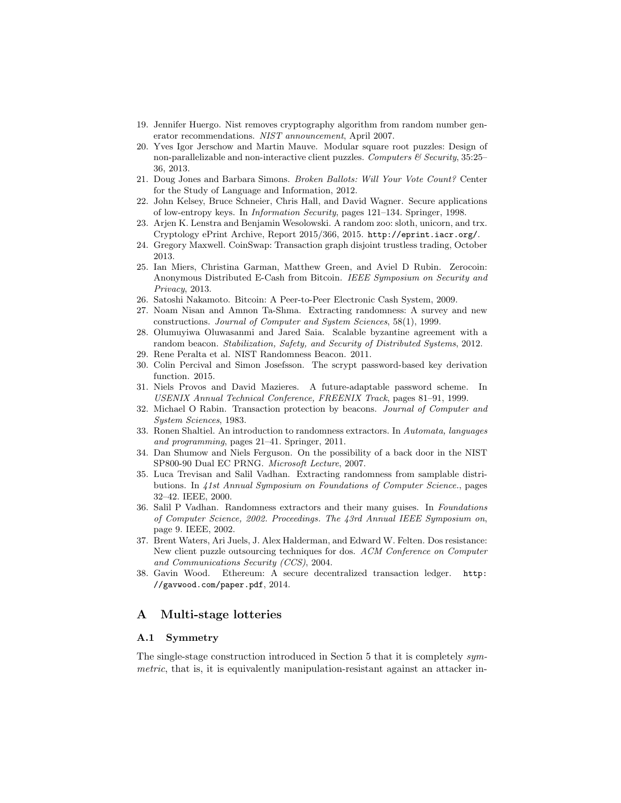- <span id="page-17-2"></span>19. Jennifer Huergo. Nist removes cryptography algorithm from random number generator recommendations. NIST announcement, April 2007.
- <span id="page-17-14"></span>20. Yves Igor Jerschow and Martin Mauve. Modular square root puzzles: Design of non-parallelizable and non-interactive client puzzles. Computers  $\mathcal C$  Security, 35:25– 36, 2013.
- <span id="page-17-18"></span>21. Doug Jones and Barbara Simons. Broken Ballots: Will Your Vote Count? Center for the Study of Language and Information, 2012.
- <span id="page-17-11"></span>22. John Kelsey, Bruce Schneier, Chris Hall, and David Wagner. Secure applications of low-entropy keys. In Information Security, pages 121–134. Springer, 1998.
- <span id="page-17-15"></span>23. Arjen K. Lenstra and Benjamin Wesolowski. A random zoo: sloth, unicorn, and trx. Cryptology ePrint Archive, Report 2015/366, 2015. <http://eprint.iacr.org/>.
- <span id="page-17-20"></span>24. Gregory Maxwell. CoinSwap: Transaction graph disjoint trustless trading, October 2013.
- <span id="page-17-5"></span>25. Ian Miers, Christina Garman, Matthew Green, and Aviel D Rubin. Zerocoin: Anonymous Distributed E-Cash from Bitcoin. IEEE Symposium on Security and Privacy, 2013.
- <span id="page-17-4"></span>26. Satoshi Nakamoto. Bitcoin: A Peer-to-Peer Electronic Cash System, 2009.
- <span id="page-17-6"></span>27. Noam Nisan and Amnon Ta-Shma. Extracting randomness: A survey and new constructions. Journal of Computer and System Sciences, 58(1), 1999.
- <span id="page-17-17"></span>28. Olumuyiwa Oluwasanmi and Jared Saia. Scalable byzantine agreement with a random beacon. Stabilization, Safety, and Security of Distributed Systems, 2012.
- <span id="page-17-1"></span>29. Rene Peralta et al. NIST Randomness Beacon. 2011.
- <span id="page-17-13"></span>30. Colin Percival and Simon Josefsson. The scrypt password-based key derivation function. 2015.
- <span id="page-17-12"></span>31. Niels Provos and David Mazieres. A future-adaptable password scheme. In USENIX Annual Technical Conference, FREENIX Track, pages 81–91, 1999.
- <span id="page-17-0"></span>32. Michael O Rabin. Transaction protection by beacons. Journal of Computer and System Sciences, 1983.
- <span id="page-17-7"></span>33. Ronen Shaltiel. An introduction to randomness extractors. In Automata, languages and programming, pages 21–41. Springer, 2011.
- <span id="page-17-3"></span>34. Dan Shumow and Niels Ferguson. On the possibility of a back door in the NIST SP800-90 Dual EC PRNG. Microsoft Lecture, 2007.
- <span id="page-17-8"></span>35. Luca Trevisan and Salil Vadhan. Extracting randomness from samplable distributions. In 41st Annual Symposium on Foundations of Computer Science., pages 32–42. IEEE, 2000.
- <span id="page-17-9"></span>36. Salil P Vadhan. Randomness extractors and their many guises. In Foundations of Computer Science, 2002. Proceedings. The 43rd Annual IEEE Symposium on, page 9. IEEE, 2002.
- <span id="page-17-16"></span>37. Brent Waters, Ari Juels, J. Alex Halderman, and Edward W. Felten. Dos resistance: New client puzzle outsourcing techniques for dos. ACM Conference on Computer and Communications Security (CCS), 2004.
- <span id="page-17-19"></span>38. Gavin Wood. Ethereum: A secure decentralized transaction ledger. [http:](http://gavwood.com/paper.pdf) [//gavwood.com/paper.pdf](http://gavwood.com/paper.pdf), 2014.

## <span id="page-17-10"></span>A Multi-stage lotteries

#### A.1 Symmetry

The single-stage construction introduced in Section [5](#page-9-3) that it is completely symmetric, that is, it is equivalently manipulation-resistant against an attacker in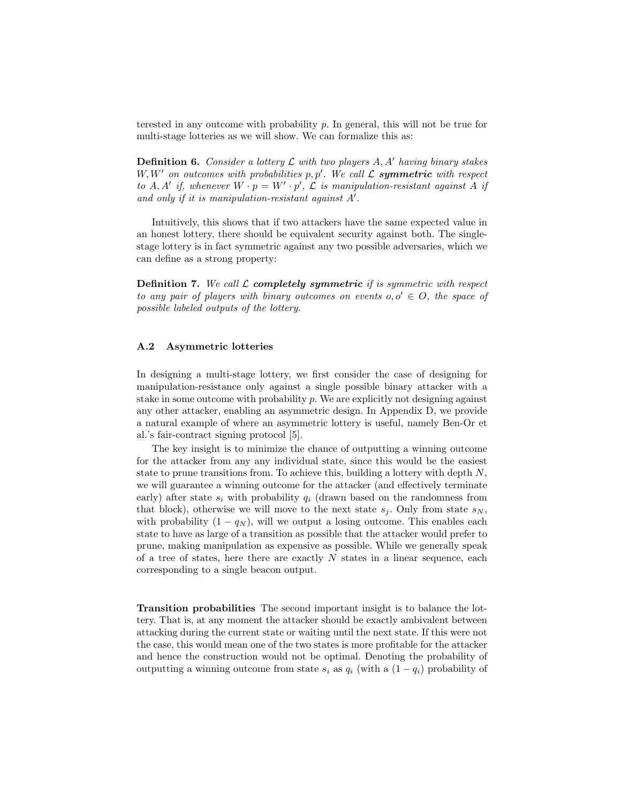terested in any outcome with probability  $p$ . In general, this will not be true for multi-stage lotteries as we will show. We can formalize this as:

**Definition 6.** Consider a lottery  $\mathcal L$  with two players  $A, A'$  having binary stakes  $W, W'$  on outcomes with probabilities  $p, p'$ . We call  $\mathcal L$  symmetric with respect to A, A' if, whenever  $W \cdot p = W' \cdot p'$ ,  $\mathcal L$  is manipulation-resistant against A if and only if it is manipulation-resistant against  $A'$ .

Intuitively, this shows that if two attackers have the same expected value in an honest lottery, there should be equivalent security against both. The singlestage lottery is in fact symmetric against any two possible adversaries, which we can define as a strong property:

**Definition 7.** We call  $\mathcal{L}$  **completely symmetric** if is symmetric with respect to any pair of players with binary outcomes on events  $o, o' \in O$ , the space of possible labeled outputs of the lottery.

#### <span id="page-18-0"></span>A.2 Asymmetric lotteries

In designing a multi-stage lottery, we first consider the case of designing for manipulation-resistance only against a single possible binary attacker with a stake in some outcome with probability  $p$ . We are explicitly not designing against any other attacker, enabling an asymmetric design. In Appendix [D,](#page-30-0) we provide a natural example of where an asymmetric lottery is useful, namely Ben-Or et al.'s fair-contract signing protocol [\[5\]](#page-16-17).

The key insight is to minimize the chance of outputting a winning outcome for the attacker from any any individual state, since this would be the easiest state to prune transitions from. To achieve this, building a lottery with depth  $N$ , we will guarantee a winning outcome for the attacker (and effectively terminate early) after state  $s_i$  with probability  $q_i$  (drawn based on the randomness from that block), otherwise we will move to the next state  $s_i$ . Only from state  $s_N$ , with probability  $(1 - q_N)$ , will we output a losing outcome. This enables each state to have as large of a transition as possible that the attacker would prefer to prune, making manipulation as expensive as possible. While we generally speak of a tree of states, here there are exactly  $N$  states in a linear sequence, each corresponding to a single beacon output.

Transition probabilities The second important insight is to balance the lottery. That is, at any moment the attacker should be exactly ambivalent between attacking during the current state or waiting until the next state. If this were not the case, this would mean one of the two states is more profitable for the attacker and hence the construction would not be optimal. Denoting the probability of outputting a winning outcome from state  $s_i$  as  $q_i$  (with a  $(1 - q_i)$  probability of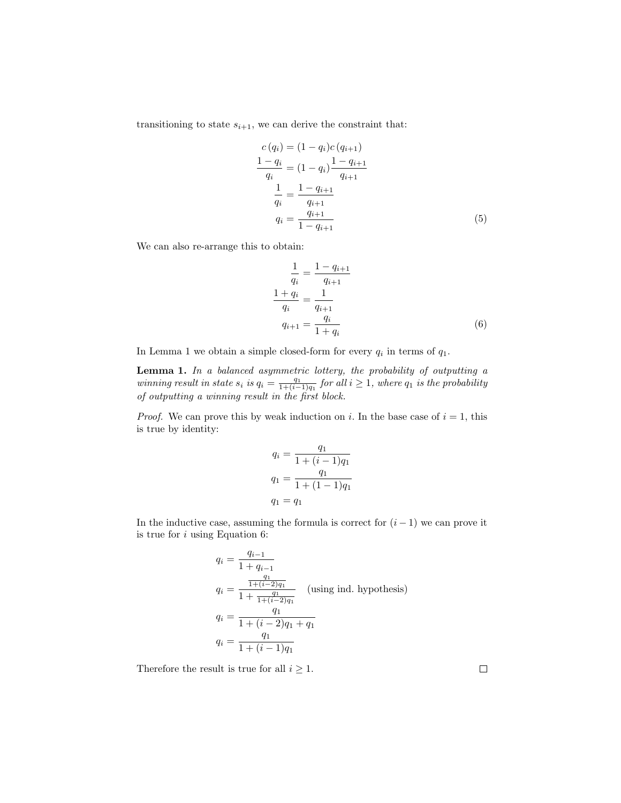transitioning to state  $s_{i+1}$ , we can derive the constraint that:

$$
c(q_i) = (1 - q_i)c(q_{i+1})
$$
  
\n
$$
\frac{1 - q_i}{q_i} = (1 - q_i) \frac{1 - q_{i+1}}{q_{i+1}}
$$
  
\n
$$
\frac{1}{q_i} = \frac{1 - q_{i+1}}{q_{i+1}}
$$
  
\n
$$
q_i = \frac{q_{i+1}}{1 - q_{i+1}}
$$
\n(5)

We can also re-arrange this to obtain:

<span id="page-19-1"></span><span id="page-19-0"></span>
$$
\frac{1}{q_i} = \frac{1 - q_{i+1}}{q_{i+1}}
$$
\n
$$
\frac{1 + q_i}{q_i} = \frac{1}{q_{i+1}}
$$
\n
$$
q_{i+1} = \frac{q_i}{1 + q_i}
$$
\n(6)

In Lemma [1](#page-19-0) we obtain a simple closed-form for every  $q_i$  in terms of  $q_1$ .

Lemma 1. In a balanced asymmetric lottery, the probability of outputting a winning result in state  $s_i$  is  $q_i = \frac{q_1}{1 + (i-1)q_1}$  for all  $i \geq 1$ , where  $q_1$  is the probability of outputting a winning result in the first block.

*Proof.* We can prove this by weak induction on i. In the base case of  $i = 1$ , this is true by identity:

$$
q_i = \frac{q_1}{1 + (i - 1)q_1}
$$

$$
q_1 = \frac{q_1}{1 + (1 - 1)q_1}
$$

$$
q_1 = q_1
$$

In the inductive case, assuming the formula is correct for  $(i - 1)$  we can prove it is true for  $i$  using Equation [6:](#page-19-1)

$$
q_i = \frac{q_{i-1}}{1 + q_{i-1}}
$$
  
\n
$$
q_i = \frac{\frac{q_1}{1 + (i-2)q_1}}{1 + \frac{q_1}{1 + (i-2)q_1}}
$$
 (using ind. hypothesis)  
\n
$$
q_i = \frac{q_1}{1 + (i-2)q_1 + q_1}
$$
  
\n
$$
q_i = \frac{q_1}{1 + (i-1)q_1}
$$

Therefore the result is true for all  $i \geq 1$ .

 $\Box$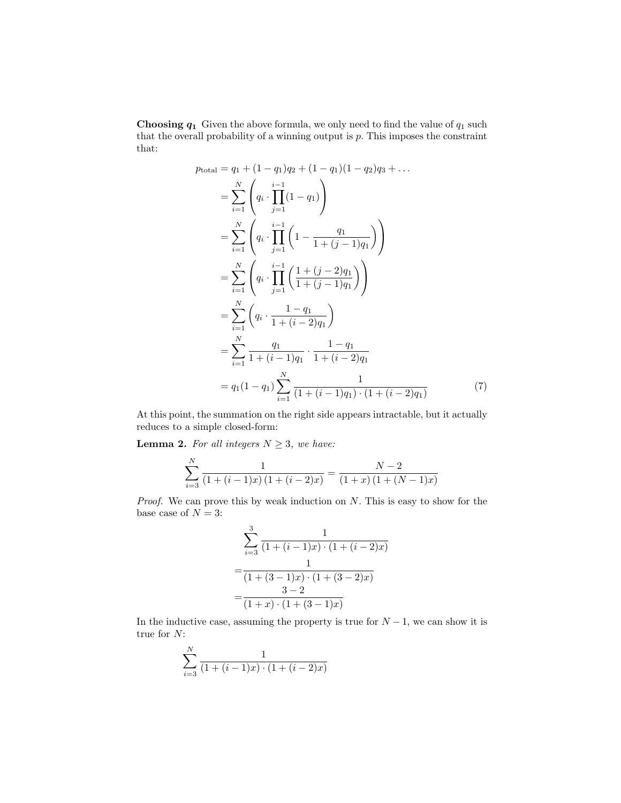**Choosing**  $q_1$  Given the above formula, we only need to find the value of  $q_1$  such that the overall probability of a winning output is  $p$ . This imposes the constraint that:

$$
p_{\text{total}} = q_1 + (1 - q_1)q_2 + (1 - q_1)(1 - q_2)q_3 + \dots
$$
  
\n
$$
= \sum_{i=1}^{N} \left( q_i \cdot \prod_{j=1}^{i-1} (1 - q_1) \right)
$$
  
\n
$$
= \sum_{i=1}^{N} \left( q_i \cdot \prod_{j=1}^{i-1} \left( 1 - \frac{q_1}{1 + (j - 1)q_1} \right) \right)
$$
  
\n
$$
= \sum_{i=1}^{N} \left( q_i \cdot \prod_{j=1}^{i-1} \left( \frac{1 + (j - 2)q_1}{1 + (j - 1)q_1} \right) \right)
$$
  
\n
$$
= \sum_{i=1}^{N} \left( q_i \cdot \frac{1 - q_1}{1 + (i - 2)q_1} \right)
$$
  
\n
$$
= \sum_{i=1}^{N} \frac{q_1}{1 + (i - 1)q_1} \cdot \frac{1 - q_1}{1 + (i - 2)q_1}
$$
  
\n
$$
= q_1(1 - q_1) \sum_{i=1}^{N} \frac{1}{(1 + (i - 1)q_1) \cdot (1 + (i - 2)q_1)}
$$
(7)

At this point, the summation on the right side appears intractable, but it actually reduces to a simple closed-form:

**Lemma 2.** For all integers  $N \geq 3$ , we have:

$$
\sum_{i=3}^{N} \frac{1}{(1 + (i - 1)x)(1 + (i - 2)x)} = \frac{N - 2}{(1 + x)(1 + (N - 1)x)}
$$

*Proof.* We can prove this by weak induction on  $N$ . This is easy to show for the base case of  $N = 3$ :

<span id="page-20-0"></span>
$$
\sum_{i=3}^{3} \frac{1}{(1 + (i - 1)x) \cdot (1 + (i - 2)x)}
$$
  
= 
$$
\frac{1}{(1 + (3 - 1)x) \cdot (1 + (3 - 2)x)}
$$
  
= 
$$
\frac{3 - 2}{(1 + x) \cdot (1 + (3 - 1)x)}
$$

In the inductive case, assuming the property is true for  $N-1$ , we can show it is true for N:

$$
\sum_{i=3}^{N} \frac{1}{(1 + (i-1)x) \cdot (1 + (i-2)x)}
$$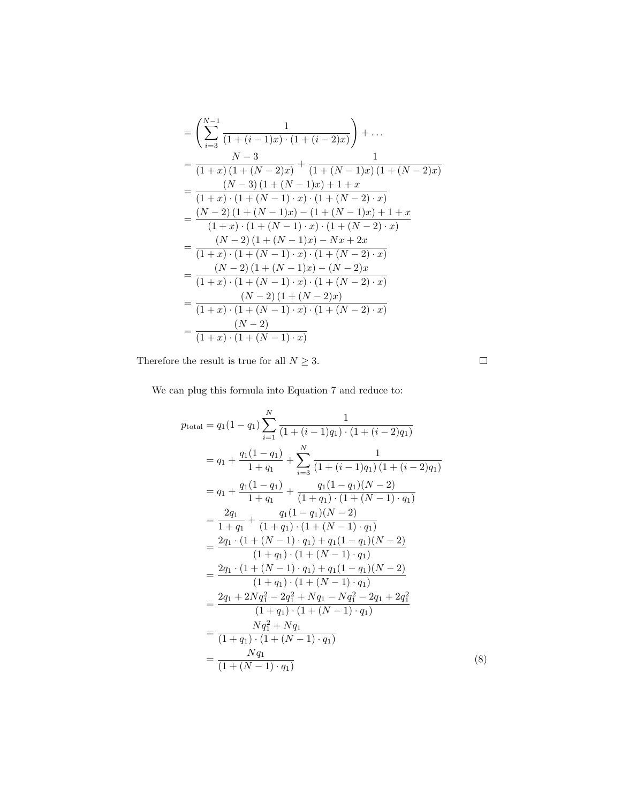$$
\begin{split}\n&= \left(\sum_{i=3}^{N-1} \frac{1}{(1+(i-1)x)\cdot(1+(i-2)x)}\right) + \dots \\
&= \frac{N-3}{(1+x)\left(1+(N-2)x\right)} + \frac{1}{(1+(N-1)x)\left(1+(N-2)x\right)} \\
&= \frac{(N-3)\left(1+(N-1)x\right) + 1+x}{(1+x)\cdot(1+(N-1)\cdot x)\cdot(1+(N-2)\cdot x)} \\
&= \frac{(N-2)\left(1+(N-1)x\right) - \left(1+(N-1)x\right) + 1+x}{(1+x)\cdot(1+(N-1)\cdot x)\cdot(1+(N-2)\cdot x)} \\
&= \frac{(N-2)\left(1+(N-1)x\right) - Nx + 2x}{(1+x)\cdot(1+(N-1)\cdot x)\cdot(1+(N-2)\cdot x)} \\
&= \frac{(N-2)\left(1+(N-1)x\right) - (N-2)x}{(1+x)\cdot(1+(N-1)\cdot x)\cdot(1+(N-2)\cdot x)} \\
&= \frac{(N-2)\left(1+(N-2)x\right)}{(1+x)\cdot(1+(N-1)\cdot x)\cdot(1+(N-2)\cdot x)} \\
&= \frac{(N-2)}{(1+x)\cdot(1+(N-1)\cdot x)}\n\end{split}
$$

Therefore the result is true for all  $N\geq 3.$ 

We can plug this formula into Equation [7](#page-20-0) and reduce to:

$$
p_{\text{total}} = q_1(1-q_1) \sum_{i=1}^{N} \frac{1}{(1+(i-1)q_1) \cdot (1+(i-2)q_1)}
$$
  
\n
$$
= q_1 + \frac{q_1(1-q_1)}{1+q_1} + \sum_{i=3}^{N} \frac{1}{(1+(i-1)q_1)(1+(i-2)q_1)}
$$
  
\n
$$
= q_1 + \frac{q_1(1-q_1)}{1+q_1} + \frac{q_1(1-q_1)(N-2)}{(1+q_1) \cdot (1+(N-1) \cdot q_1)}
$$
  
\n
$$
= \frac{2q_1}{1+q_1} + \frac{q_1(1-q_1)(N-2)}{(1+q_1) \cdot (1+(N-1) \cdot q_1)}
$$
  
\n
$$
= \frac{2q_1 \cdot (1+(N-1) \cdot q_1) + q_1(1-q_1)(N-2)}{(1+q_1) \cdot (1+(N-1) \cdot q_1)}
$$
  
\n
$$
= \frac{2q_1 \cdot (1+(N-1) \cdot q_1) + q_1(1-q_1)(N-2)}{(1+q_1) \cdot (1+(N-1) \cdot q_1)}
$$
  
\n
$$
= \frac{2q_1 + 2Nq_1^2 - 2q_1^2 + Nq_1 - Nq_1^2 - 2q_1 + 2q_1^2}{(1+q_1) \cdot (1+(N-1) \cdot q_1)}
$$
  
\n
$$
= \frac{Nq_1^2 + Nq_1}{(1+q_1) \cdot (1+(N-1) \cdot q_1)}
$$
  
\n
$$
= \frac{Nq_1}{(1+(N-1) \cdot q_1)}
$$

 $\Box$ 

(8)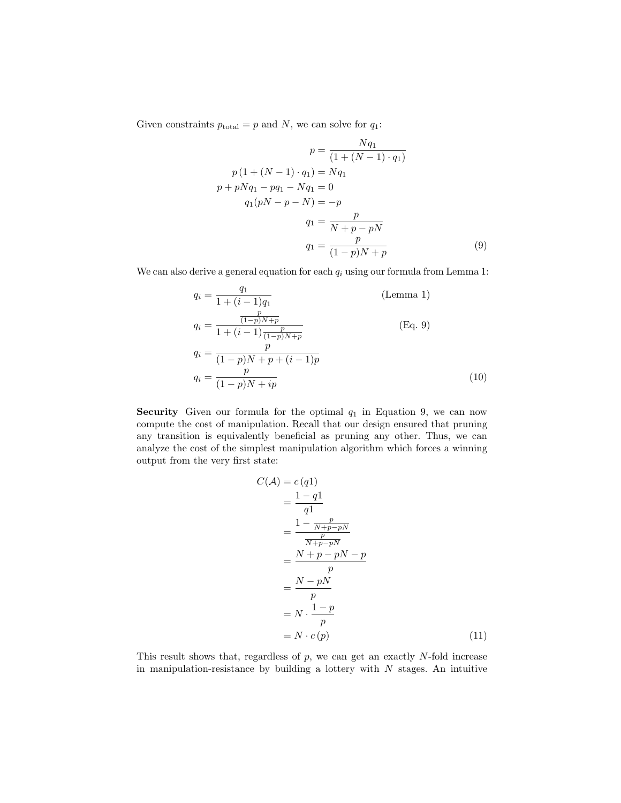Given constraints  $p_{\text{total}} = p$  and N, we can solve for  $q_1$ :

<span id="page-22-0"></span>
$$
p = \frac{Nq_1}{(1 + (N - 1) \cdot q_1)}
$$
  
\n
$$
p(1 + (N - 1) \cdot q_1) = Nq_1
$$
  
\n
$$
p + pNq_1 - pq_1 - Nq_1 = 0
$$
  
\n
$$
q_1(pN - p - N) = -p
$$
  
\n
$$
q_1 = \frac{p}{N + p - pN}
$$
  
\n
$$
q_1 = \frac{p}{(1 - p)N + p}
$$
\n(9)

We can also derive a general equation for each  $q_i$  using our formula from Lemma [1:](#page-19-0)

$$
q_i = \frac{q_1}{1 + (i - 1)q_1}
$$
 (Lemma 1)  
\n
$$
q_i = \frac{\frac{p}{(1-p)N+p}}{1 + (i - 1)\frac{p}{(1-p)N+p}}
$$
 (Eq. 9)  
\n
$$
q_i = \frac{p}{(1-p)N + p + (i - 1)p}
$$
  
\n
$$
q_i = \frac{p}{(1-p)N + ip}
$$
 (10)

Security Given our formula for the optimal  $q_1$  in Equation [9,](#page-22-0) we can now compute the cost of manipulation. Recall that our design ensured that pruning any transition is equivalently beneficial as pruning any other. Thus, we can analyze the cost of the simplest manipulation algorithm which forces a winning output from the very first state:

$$
C(\mathcal{A}) = c(q1)
$$
  
=  $\frac{1-q1}{q1}$   
=  $\frac{1 - \frac{p}{N+p-pN}}{\frac{p}{N+p-pN}}$   
=  $\frac{N+p-pN-p}{p}$   
=  $\frac{N-pN}{p}$   
=  $N \cdot \frac{1-p}{p}$   
=  $N \cdot c(p)$  (11)

This result shows that, regardless of  $p$ , we can get an exactly  $N$ -fold increase in manipulation-resistance by building a lottery with  $N$  stages. An intuitive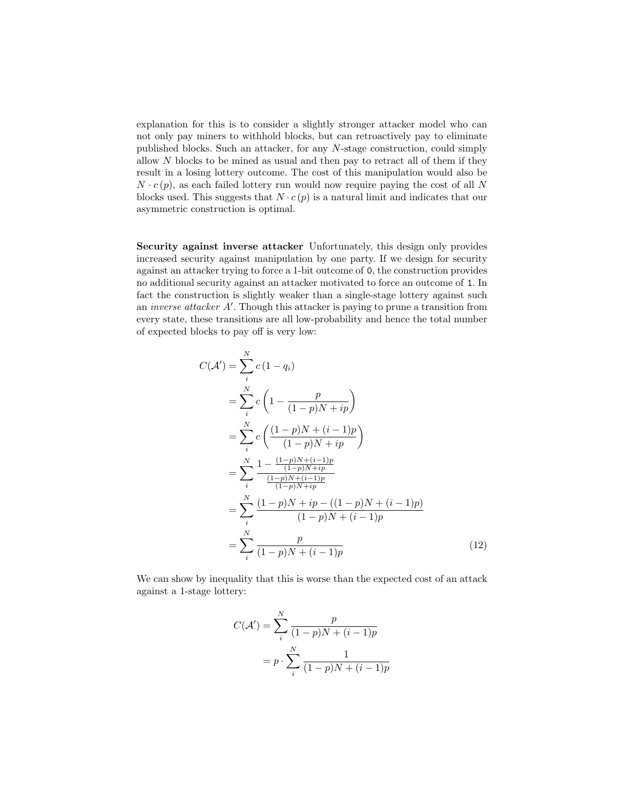explanation for this is to consider a slightly stronger attacker model who can not only pay miners to withhold blocks, but can retroactively pay to eliminate published blocks. Such an attacker, for any N-stage construction, could simply allow  $N$  blocks to be mined as usual and then pay to retract all of them if they result in a losing lottery outcome. The cost of this manipulation would also be  $N \cdot c(p)$ , as each failed lottery run would now require paying the cost of all N blocks used. This suggests that  $N \cdot c(p)$  is a natural limit and indicates that our asymmetric construction is optimal.

Security against inverse attacker Unfortunately, this design only provides increased security against manipulation by one party. If we design for security against an attacker trying to force a 1-bit outcome of 0, the construction provides no additional security against an attacker motivated to force an outcome of 1. In fact the construction is slightly weaker than a single-stage lottery against such an *inverse attacker A'*. Though this attacker is paying to prune a transition from every state, these transitions are all low-probability and hence the total number of expected blocks to pay off is very low:

$$
C(\mathcal{A}') = \sum_{i}^{N} c (1 - q_{i})
$$
  
=  $\sum_{i}^{N} c \left( 1 - \frac{p}{(1 - p)N + ip} \right)$   
=  $\sum_{i}^{N} c \left( \frac{(1 - p)N + (i - 1)p}{(1 - p)N + ip} \right)$   
=  $\sum_{i}^{N} \frac{1 - \frac{(1 - p)N + (i - 1)p}{(1 - p)N + ip}}{\frac{(1 - p)N + (i - 1)p}{(1 - p)N + ip}}$   
=  $\sum_{i}^{N} \frac{(1 - p)N + ip - ((1 - p)N + (i - 1)p)}{(1 - p)N + (i - 1)p}$   
=  $\sum_{i}^{N} \frac{p}{(1 - p)N + (i - 1)p}$  (12)

We can show by inequality that this is worse than the expected cost of an attack against a 1-stage lottery:

<span id="page-23-0"></span>
$$
C(\mathcal{A}') = \sum_{i}^{N} \frac{p}{(1-p)N + (i-1)p}
$$

$$
= p \cdot \sum_{i}^{N} \frac{1}{(1-p)N + (i-1)p}
$$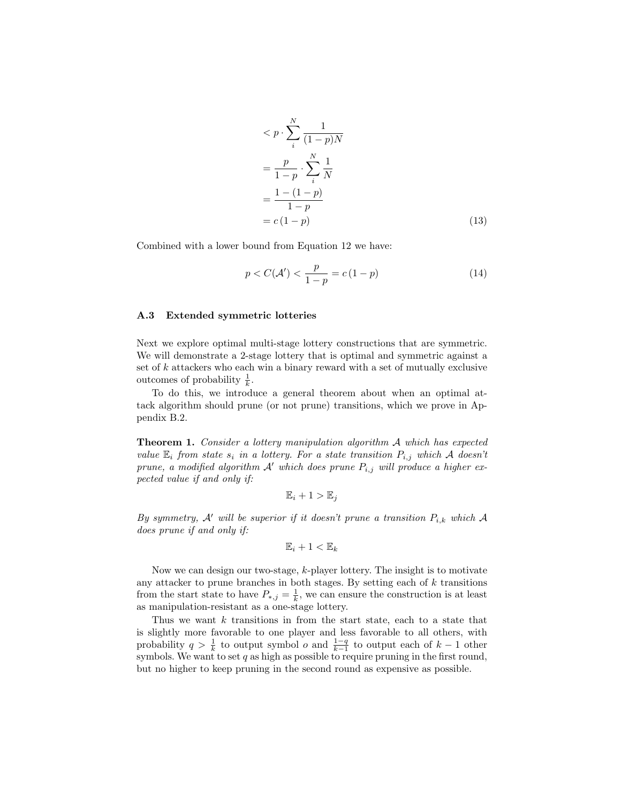$$
\langle p \cdot \sum_{i}^{N} \frac{1}{(1-p)N} \n= \frac{p}{1-p} \cdot \sum_{i}^{N} \frac{1}{N} \n= \frac{1 - (1-p)}{1-p} \n= c(1-p)
$$
\n(13)

Combined with a lower bound from Equation [12](#page-23-0) we have:

$$
p < C(\mathcal{A}') < \frac{p}{1-p} = c(1-p) \tag{14}
$$

### <span id="page-24-1"></span>A.3 Extended symmetric lotteries

Next we explore optimal multi-stage lottery constructions that are symmetric. We will demonstrate a 2-stage lottery that is optimal and symmetric against a set of  $k$  attackers who each win a binary reward with a set of mutually exclusive outcomes of probability  $\frac{1}{k}$ .

<span id="page-24-0"></span>To do this, we introduce a general theorem about when an optimal attack algorithm should prune (or not prune) transitions, which we prove in Appendix [B.2.](#page-27-0)

Theorem 1. Consider a lottery manipulation algorithm A which has expected value  $\mathbb{E}_i$  from state  $s_i$  in a lottery. For a state transition  $P_{i,j}$  which A doesn't prune, a modified algorithm  $A'$  which does prune  $P_{i,j}$  will produce a higher expected value if and only if:

$$
\mathbb{E}_i + 1 > \mathbb{E}_j
$$

By symmetry, A' will be superior if it doesn't prune a transition  $P_{i,k}$  which A does prune if and only if:

$$
\mathbb{E}_i + 1 < \mathbb{E}_k
$$

Now we can design our two-stage, k-player lottery. The insight is to motivate any attacker to prune branches in both stages. By setting each of  $k$  transitions from the start state to have  $P_{*,j} = \frac{1}{k}$ , we can ensure the construction is at least as manipulation-resistant as a one-stage lottery.

Thus we want  $k$  transitions in from the start state, each to a state that is slightly more favorable to one player and less favorable to all others, with probability  $q > \frac{1}{k}$  to output symbol  $o$  and  $\frac{1-q}{k-1}$  to output each of  $k-1$  other symbols. We want to set  $q$  as high as possible to require pruning in the first round, but no higher to keep pruning in the second round as expensive as possible.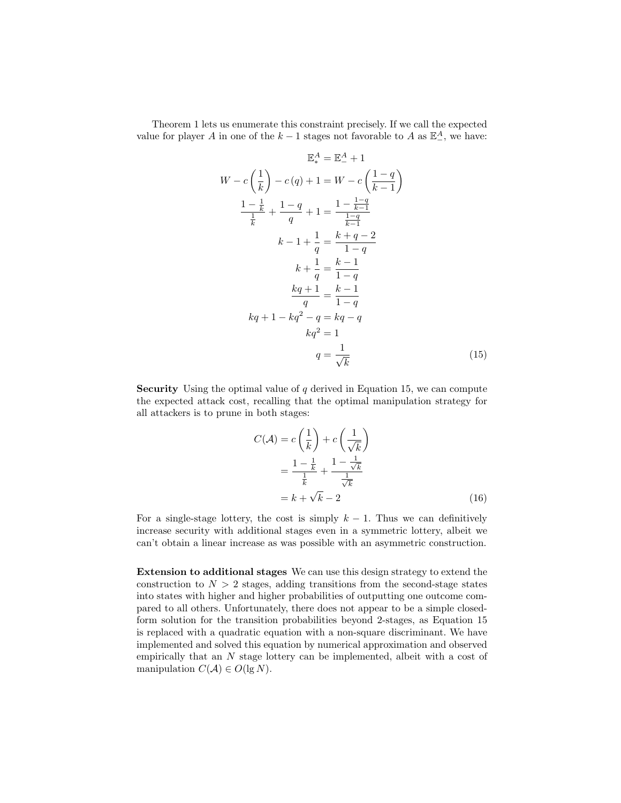Theorem [1](#page-24-0) lets us enumerate this constraint precisely. If we call the expected value for player A in one of the  $k-1$  stages not favorable to A as  $\mathbb{E}^A_-$ , we have:

$$
\mathbb{E}_{*}^{A} = \mathbb{E}_{-}^{A} + 1
$$
\n
$$
W - c\left(\frac{1}{k}\right) - c(q) + 1 = W - c\left(\frac{1-q}{k-1}\right)
$$
\n
$$
\frac{1 - \frac{1}{k}}{\frac{1}{k}} + \frac{1-q}{q} + 1 = \frac{1 - \frac{1-q}{k-1}}{\frac{1-q}{k-1}}
$$
\n
$$
k - 1 + \frac{1}{q} = \frac{k+q-2}{1-q}
$$
\n
$$
k + \frac{1}{q} = \frac{k-1}{1-q}
$$
\n
$$
\frac{kq+1}{q} = \frac{k-1}{1-q}
$$
\n
$$
kq + 1 - kq^{2} - q = kq - q
$$
\n
$$
kq^{2} = 1
$$
\n
$$
q = \frac{1}{\sqrt{k}}
$$
\n(15)

**Security** Using the optimal value of  $q$  derived in Equation [15,](#page-25-0) we can compute the expected attack cost, recalling that the optimal manipulation strategy for all attackers is to prune in both stages:

<span id="page-25-0"></span>
$$
C(\mathcal{A}) = c\left(\frac{1}{k}\right) + c\left(\frac{1}{\sqrt{k}}\right)
$$

$$
= \frac{1 - \frac{1}{k}}{\frac{1}{k}} + \frac{1 - \frac{1}{\sqrt{k}}}{\frac{1}{\sqrt{k}}}
$$

$$
= k + \sqrt{k} - 2 \tag{16}
$$

For a single-stage lottery, the cost is simply  $k - 1$ . Thus we can definitively increase security with additional stages even in a symmetric lottery, albeit we can't obtain a linear increase as was possible with an asymmetric construction.

Extension to additional stages We can use this design strategy to extend the construction to  $N > 2$  stages, adding transitions from the second-stage states into states with higher and higher probabilities of outputting one outcome compared to all others. Unfortunately, there does not appear to be a simple closedform solution for the transition probabilities beyond 2-stages, as Equation [15](#page-25-0) is replaced with a quadratic equation with a non-square discriminant. We have implemented and solved this equation by numerical approximation and observed empirically that an N stage lottery can be implemented, albeit with a cost of manipulation  $C(\mathcal{A}) \in O(\lg N)$ .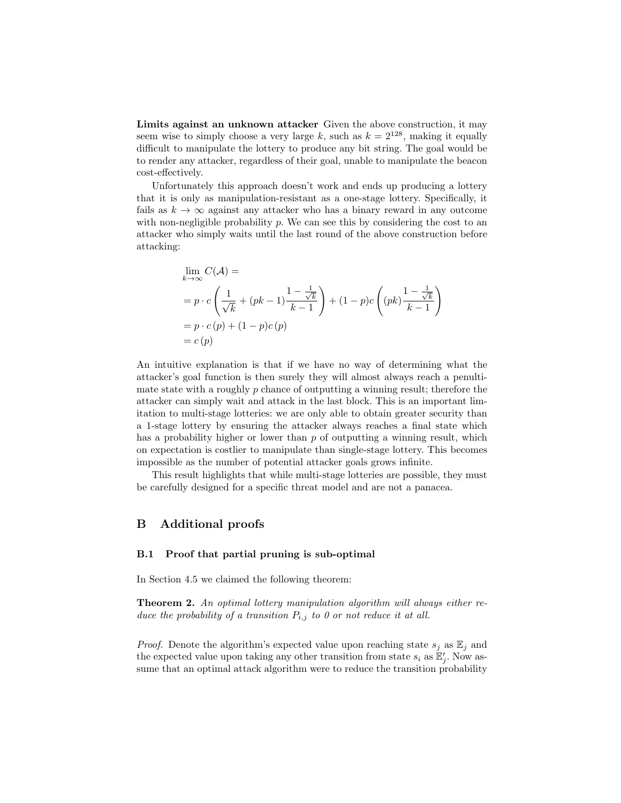Limits against an unknown attacker Given the above construction, it may seem wise to simply choose a very large k, such as  $k = 2^{128}$ , making it equally difficult to manipulate the lottery to produce any bit string. The goal would be to render any attacker, regardless of their goal, unable to manipulate the beacon cost-effectively.

Unfortunately this approach doesn't work and ends up producing a lottery that it is only as manipulation-resistant as a one-stage lottery. Specifically, it fails as  $k \to \infty$  against any attacker who has a binary reward in any outcome with non-negligible probability  $p$ . We can see this by considering the cost to an attacker who simply waits until the last round of the above construction before attacking:

$$
\lim_{k \to \infty} C(\mathcal{A}) =
$$
\n
$$
= p \cdot c \left( \frac{1}{\sqrt{k}} + (pk - 1) \frac{1 - \frac{1}{\sqrt{k}}}{k - 1} \right) + (1 - p)c \left( (pk) \frac{1 - \frac{1}{\sqrt{k}}}{k - 1} \right)
$$
\n
$$
= p \cdot c(p) + (1 - p)c(p)
$$
\n
$$
= c(p)
$$

An intuitive explanation is that if we have no way of determining what the attacker's goal function is then surely they will almost always reach a penultimate state with a roughly  $p$  chance of outputting a winning result; therefore the attacker can simply wait and attack in the last block. This is an important limitation to multi-stage lotteries: we are only able to obtain greater security than a 1-stage lottery by ensuring the attacker always reaches a final state which has a probability higher or lower than  $p$  of outputting a winning result, which on expectation is costlier to manipulate than single-stage lottery. This becomes impossible as the number of potential attacker goals grows infinite.

This result highlights that while multi-stage lotteries are possible, they must be carefully designed for a specific threat model and are not a panacea.

## B Additional proofs

#### <span id="page-26-0"></span>B.1 Proof that partial pruning is sub-optimal

In Section [4.5](#page-8-1) we claimed the following theorem:

Theorem 2. An optimal lottery manipulation algorithm will always either reduce the probability of a transition  $P_{i,j}$  to 0 or not reduce it at all.

*Proof.* Denote the algorithm's expected value upon reaching state  $s_j$  as  $\mathbb{E}_j$  and the expected value upon taking any other transition from state  $s_i$  as  $\mathbb{E}'_j$ . Now assume that an optimal attack algorithm were to reduce the transition probability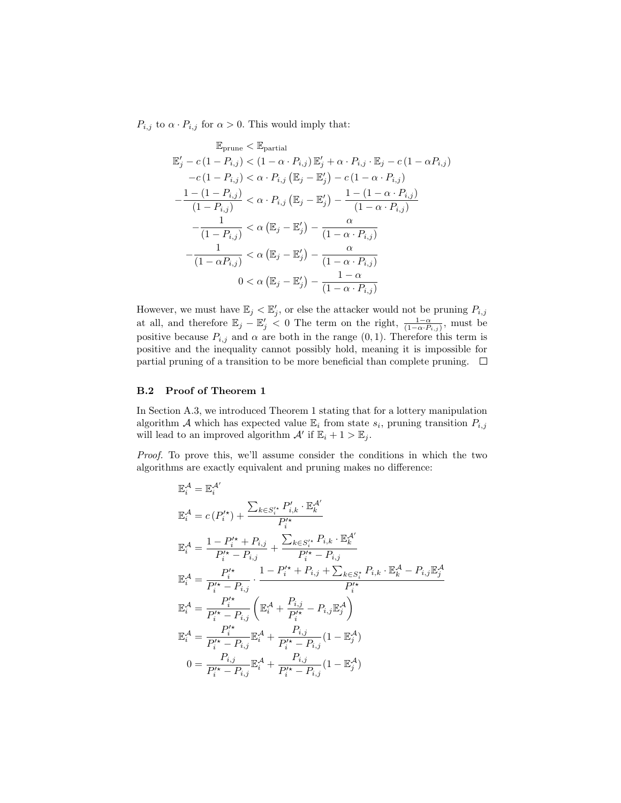$P_{i,j}$  to  $\alpha \cdot P_{i,j}$  for  $\alpha > 0$ . This would imply that:

$$
\mathbb{E}_{\text{prune}} < \mathbb{E}_{\text{partial}}
$$
\n
$$
\mathbb{E}'_j - c(1 - P_{i,j}) < (1 - \alpha \cdot P_{i,j}) \mathbb{E}'_j + \alpha \cdot P_{i,j} \cdot \mathbb{E}_j - c(1 - \alpha P_{i,j})
$$
\n
$$
-c(1 - P_{i,j}) < \alpha \cdot P_{i,j} (\mathbb{E}_j - \mathbb{E}'_j) - c(1 - \alpha \cdot P_{i,j})
$$
\n
$$
-\frac{1 - (1 - P_{i,j})}{(1 - P_{i,j})} < \alpha \cdot P_{i,j} (\mathbb{E}_j - \mathbb{E}'_j) - \frac{1 - (1 - \alpha \cdot P_{i,j})}{(1 - \alpha \cdot P_{i,j})}
$$
\n
$$
-\frac{1}{(1 - P_{i,j})} < \alpha (\mathbb{E}_j - \mathbb{E}'_j) - \frac{\alpha}{(1 - \alpha \cdot P_{i,j})}
$$
\n
$$
-\frac{1}{(1 - \alpha P_{i,j})} < \alpha (\mathbb{E}_j - \mathbb{E}'_j) - \frac{\alpha}{(1 - \alpha \cdot P_{i,j})}
$$
\n
$$
0 < \alpha (\mathbb{E}_j - \mathbb{E}'_j) - \frac{1 - \alpha}{(1 - \alpha \cdot P_{i,j})}
$$

However, we must have  $\mathbb{E}_j < \mathbb{E}'_j$ , or else the attacker would not be pruning  $P_{i,j}$ at all, and therefore  $\mathbb{E}_j - \mathbb{E}'_j < 0$  The term on the right,  $\frac{1-\alpha}{(1-\alpha \cdot P_{i,j})}$ , must be positive because  $P_{i,j}$  and  $\alpha$  are both in the range  $(0, 1)$ . Therefore this term is positive and the inequality cannot possibly hold, meaning it is impossible for partial pruning of a transition to be more beneficial than complete pruning.  $\Box$ 

## <span id="page-27-0"></span>B.2 Proof of Theorem [1](#page-24-0)

In Section [A.3,](#page-24-1) we introduced Theorem [1](#page-24-0) stating that for a lottery manipulation algorithm A which has expected value  $\mathbb{E}_i$  from state  $s_i$ , pruning transition  $P_{i,j}$ will lead to an improved algorithm  $\mathcal{A}'$  if  $\mathbb{E}_i + 1 > \mathbb{E}_j$ .

Proof. To prove this, we'll assume consider the conditions in which the two algorithms are exactly equivalent and pruning makes no difference:

$$
\mathbb{E}_{i}^{\mathcal{A}} = \mathbb{E}_{i}^{\mathcal{A}'} \n\mathbb{E}_{i}^{\mathcal{A}} = c(P_{i}^{\prime\star}) + \frac{\sum_{k \in S_{i}^{\prime\star}} P_{i,k}^{\prime} \cdot \mathbb{E}_{k}^{\mathcal{A}^{\prime}}}{P_{i}^{\prime\star}} \n\mathbb{E}_{i}^{\mathcal{A}} = \frac{1 - P_{i}^{\prime\star} + P_{i,j}}{P_{i}^{\prime\star} - P_{i,j}} + \frac{\sum_{k \in S_{i}^{\prime\star}} P_{i,k} \cdot \mathbb{E}_{k}^{\mathcal{A}^{\prime}}}{P_{i}^{\prime\star} - P_{i,j}} \n\mathbb{E}_{i}^{\mathcal{A}} = \frac{P_{i}^{\prime\star}}{P_{i}^{\prime\star} - P_{i,j}} \cdot \frac{1 - P_{i}^{\prime\star} + P_{i,j} + \sum_{k \in S_{i}^{\star}} P_{i,k} \cdot \mathbb{E}_{k}^{\mathcal{A}} - P_{i,j} \mathbb{E}_{j}^{\mathcal{A}}}{P_{i}^{\prime\star}} \n\mathbb{E}_{i}^{\mathcal{A}} = \frac{P_{i}^{\prime\star}}{P_{i}^{\prime\star} - P_{i,j}} \left( \mathbb{E}_{i}^{\mathcal{A}} + \frac{P_{i,j}}{P_{i}^{\prime\star}} - P_{i,j} \mathbb{E}_{j}^{\mathcal{A}} \right) \n\mathbb{E}_{i}^{\mathcal{A}} = \frac{P_{i}^{\prime\star}}{P_{i}^{\prime\star} - P_{i,j}} \mathbb{E}_{i}^{\mathcal{A}} + \frac{P_{i,j}}{P_{i}^{\prime\star} - P_{i,j}} (1 - \mathbb{E}_{j}^{\mathcal{A}}) \n0 = \frac{P_{i,j}}{P_{i}^{\prime\star} - P_{i,j}} \mathbb{E}_{i}^{\mathcal{A}} + \frac{P_{i,j}}{P_{i}^{\prime\star} - P_{i,j}} (1 - \mathbb{E}_{j}^{\mathcal{A}})
$$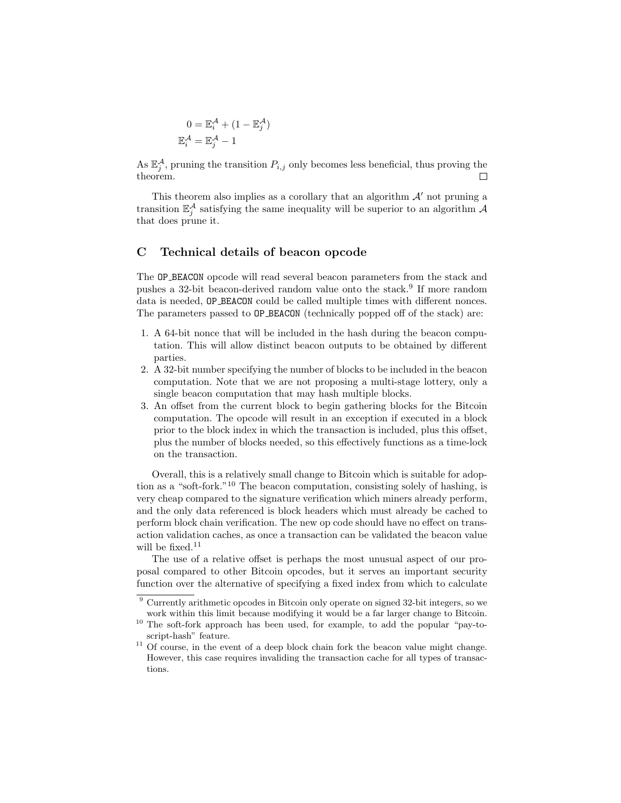$$
0 = \mathbb{E}_{i}^{\mathcal{A}} + (1 - \mathbb{E}_{j}^{\mathcal{A}})
$$

$$
\mathbb{E}_{i}^{\mathcal{A}} = \mathbb{E}_{j}^{\mathcal{A}} - 1
$$

As  $\mathbb{E}_j^{\mathcal{A}}$ , pruning the transition  $P_{i,j}$  only becomes less beneficial, thus proving the theorem.  $\Box$ 

This theorem also implies as a corollary that an algorithm  $\mathcal{A}'$  not pruning a transition  $\mathbb{E}_{j}^{\mathcal{A}}$  satisfying the same inequality will be superior to an algorithm  $\mathcal{A}$ that does prune it.

## <span id="page-28-0"></span>C Technical details of beacon opcode

The OP BEACON opcode will read several beacon parameters from the stack and pushes a 32-bit beacon-derived random value onto the stack.<sup>[9](#page-28-1)</sup> If more random data is needed, OP BEACON could be called multiple times with different nonces. The parameters passed to OP BEACON (technically popped off of the stack) are:

- 1. A 64-bit nonce that will be included in the hash during the beacon computation. This will allow distinct beacon outputs to be obtained by different parties.
- 2. A 32-bit number specifying the number of blocks to be included in the beacon computation. Note that we are not proposing a multi-stage lottery, only a single beacon computation that may hash multiple blocks.
- 3. An offset from the current block to begin gathering blocks for the Bitcoin computation. The opcode will result in an exception if executed in a block prior to the block index in which the transaction is included, plus this offset, plus the number of blocks needed, so this effectively functions as a time-lock on the transaction.

Overall, this is a relatively small change to Bitcoin which is suitable for adoption as a "soft-fork."[10](#page-28-2) The beacon computation, consisting solely of hashing, is very cheap compared to the signature verification which miners already perform, and the only data referenced is block headers which must already be cached to perform block chain verification. The new op code should have no effect on transaction validation caches, as once a transaction can be validated the beacon value will be fixed.<sup>[11](#page-28-3)</sup>

The use of a relative offset is perhaps the most unusual aspect of our proposal compared to other Bitcoin opcodes, but it serves an important security function over the alternative of specifying a fixed index from which to calculate

<span id="page-28-1"></span><sup>9</sup> Currently arithmetic opcodes in Bitcoin only operate on signed 32-bit integers, so we work within this limit because modifying it would be a far larger change to Bitcoin.

<span id="page-28-2"></span><sup>10</sup> The soft-fork approach has been used, for example, to add the popular "pay-toscript-hash" feature.

<span id="page-28-3"></span> $11$  Of course, in the event of a deep block chain fork the beacon value might change. However, this case requires invaliding the transaction cache for all types of transactions.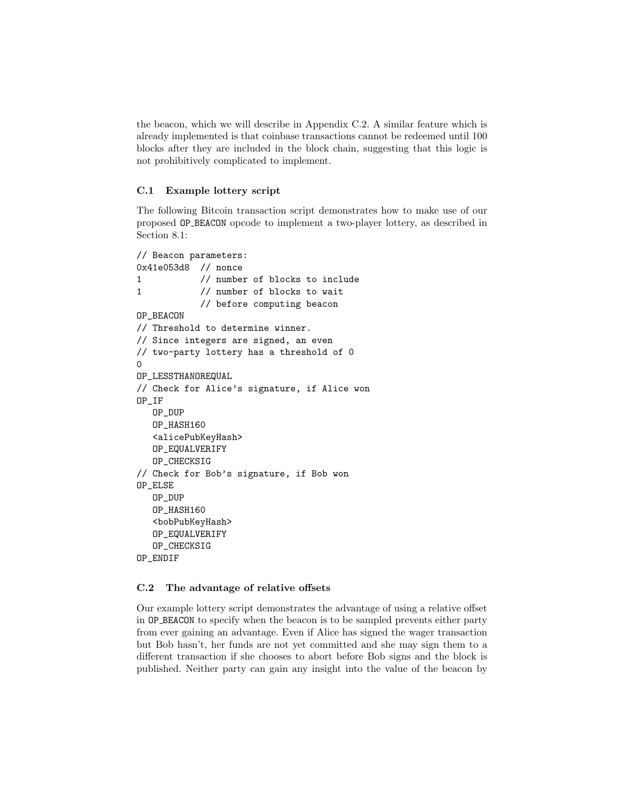the beacon, which we will describe in Appendix [C.2.](#page-29-1) A similar feature which is already implemented is that coinbase transactions cannot be redeemed until 100 blocks after they are included in the block chain, suggesting that this logic is not prohibitively complicated to implement.

## <span id="page-29-0"></span>C.1 Example lottery script

The following Bitcoin transaction script demonstrates how to make use of our proposed OP BEACON opcode to implement a two-player lottery, as described in Section [8.1:](#page-13-0)

```
// Beacon parameters:
0x41e053d8 // nonce
1 // number of blocks to include
1 // number of blocks to wait
           // before computing beacon
OP_BEACON
// Threshold to determine winner.
// Since integers are signed, an even
// two-party lottery has a threshold of 0
\OmegaOP_LESSTHANOREQUAL
// Check for Alice's signature, if Alice won
OP_IF
  OP_DUP
  OP_HASH160
   <alicePubKeyHash>
   OP_EQUALVERIFY
  OP_CHECKSIG
// Check for Bob's signature, if Bob won
OP_ELSE
   OP_DUP
  OP_HASH160
   <bobPubKeyHash>
  OP_EQUALVERIFY
   OP_CHECKSIG
OP_ENDIF
```
## <span id="page-29-1"></span>C.2 The advantage of relative offsets

Our example lottery script demonstrates the advantage of using a relative offset in OP BEACON to specify when the beacon is to be sampled prevents either party from ever gaining an advantage. Even if Alice has signed the wager transaction but Bob hasn't, her funds are not yet committed and she may sign them to a different transaction if she chooses to abort before Bob signs and the block is published. Neither party can gain any insight into the value of the beacon by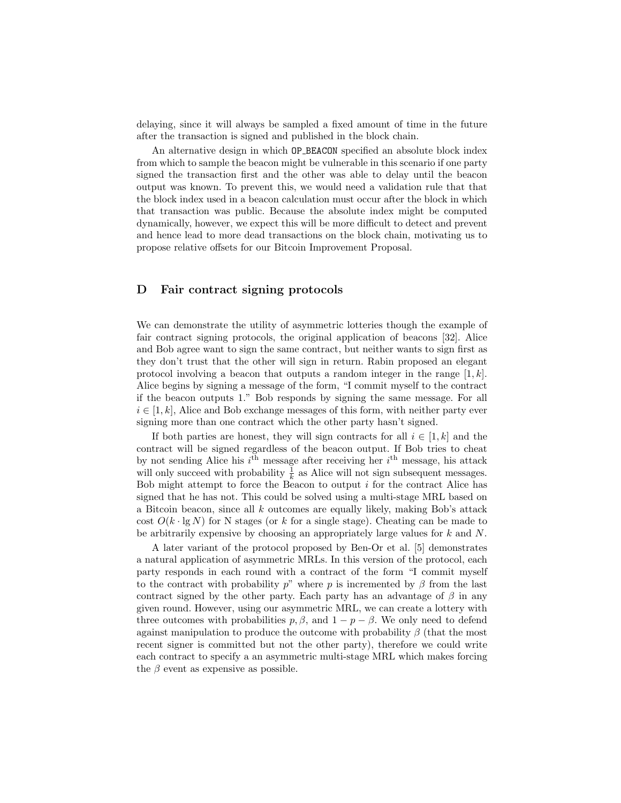delaying, since it will always be sampled a fixed amount of time in the future after the transaction is signed and published in the block chain.

An alternative design in which OP BEACON specified an absolute block index from which to sample the beacon might be vulnerable in this scenario if one party signed the transaction first and the other was able to delay until the beacon output was known. To prevent this, we would need a validation rule that that the block index used in a beacon calculation must occur after the block in which that transaction was public. Because the absolute index might be computed dynamically, however, we expect this will be more difficult to detect and prevent and hence lead to more dead transactions on the block chain, motivating us to propose relative offsets for our Bitcoin Improvement Proposal.

## <span id="page-30-0"></span>D Fair contract signing protocols

We can demonstrate the utility of asymmetric lotteries though the example of fair contract signing protocols, the original application of beacons [\[32\]](#page-17-0). Alice and Bob agree want to sign the same contract, but neither wants to sign first as they don't trust that the other will sign in return. Rabin proposed an elegant protocol involving a beacon that outputs a random integer in the range  $[1, k]$ . Alice begins by signing a message of the form, "I commit myself to the contract if the beacon outputs 1." Bob responds by signing the same message. For all  $i \in [1, k]$ , Alice and Bob exchange messages of this form, with neither party ever signing more than one contract which the other party hasn't signed.

If both parties are honest, they will sign contracts for all  $i \in [1, k]$  and the contract will be signed regardless of the beacon output. If Bob tries to cheat by not sending Alice his  $i<sup>th</sup>$  message after receiving her  $i<sup>th</sup>$  message, his attack will only succeed with probability  $\frac{1}{k}$  as Alice will not sign subsequent messages. Bob might attempt to force the Beacon to output  $i$  for the contract Alice has signed that he has not. This could be solved using a multi-stage MRL based on a Bitcoin beacon, since all k outcomes are equally likely, making Bob's attack cost  $O(k \cdot \lg N)$  for N stages (or k for a single stage). Cheating can be made to be arbitrarily expensive by choosing an appropriately large values for k and N.

A later variant of the protocol proposed by Ben-Or et al. [\[5\]](#page-16-17) demonstrates a natural application of asymmetric MRLs. In this version of the protocol, each party responds in each round with a contract of the form "I commit myself to the contract with probability  $p^{\prime\prime}$  where p is incremented by  $\beta$  from the last contract signed by the other party. Each party has an advantage of  $\beta$  in any given round. However, using our asymmetric MRL, we can create a lottery with three outcomes with probabilities  $p, \beta$ , and  $1 - p - \beta$ . We only need to defend against manipulation to produce the outcome with probability  $\beta$  (that the most recent signer is committed but not the other party), therefore we could write each contract to specify a an asymmetric multi-stage MRL which makes forcing the  $\beta$  event as expensive as possible.